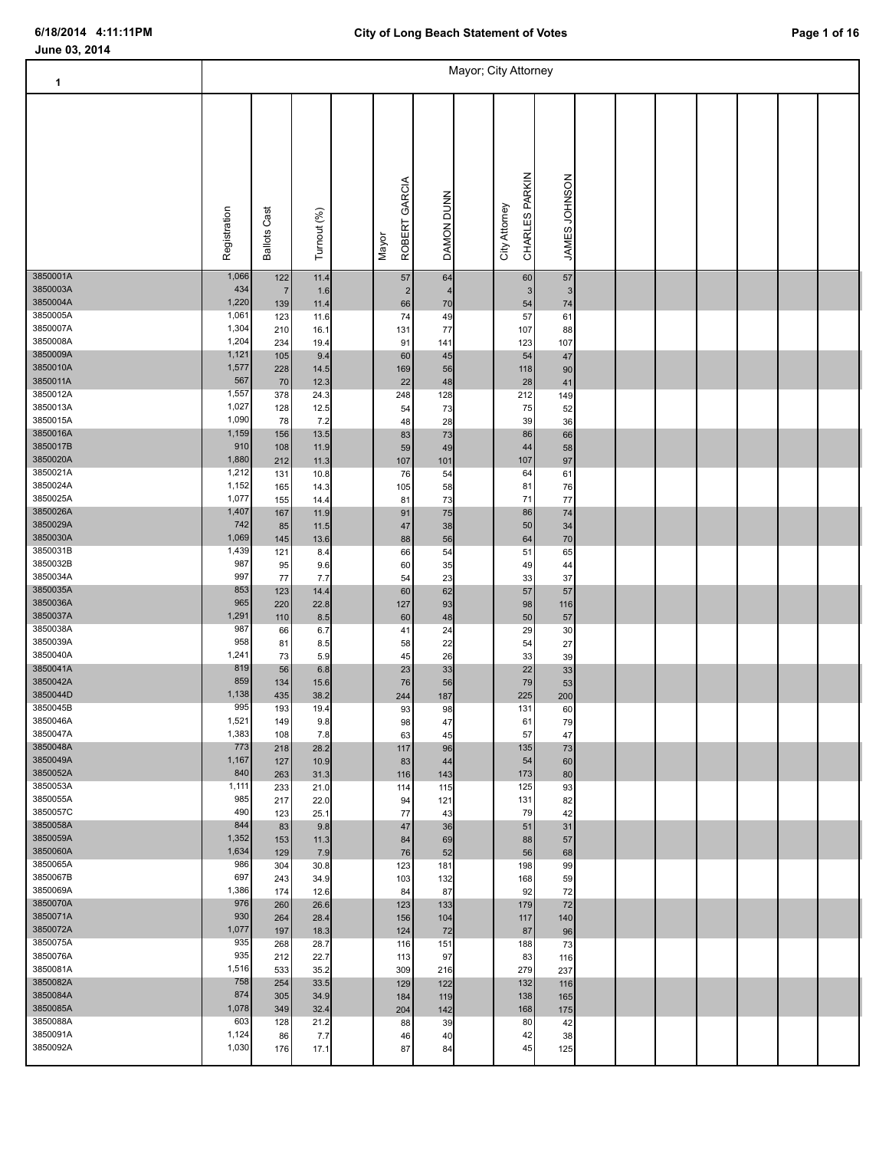т

### **June 03, 2014**

| 1                    |                |                     |              |                        |                      | Mayor; City Attorney            |                       |  |  |  |  |
|----------------------|----------------|---------------------|--------------|------------------------|----------------------|---------------------------------|-----------------------|--|--|--|--|
|                      | Registration   | <b>Ballots Cast</b> | Turnout (%)  | ROBERT GARCIA<br>Mayor | DAMON DUNN           | CHARLES PARKIN<br>City Attorney | JAMES JOHNSON         |  |  |  |  |
| 3850001A<br>3850003A | 1,066<br>434   | 122                 | 11.4         | $57\,$                 | 64<br>$\overline{4}$ | 60<br>$\mathbf{3}$              | $57\,$                |  |  |  |  |
| 3850004A             | 1,220          | $\sqrt{7}$<br>139   | 1.6<br>11.4  | 2<br>66                | 70                   | 54                              | 3 <sup>1</sup><br>74  |  |  |  |  |
| 3850005A             | 1,061          | 123                 | 11.6         | 74                     | 49                   | 57                              | 61                    |  |  |  |  |
| 3850007A<br>3850008A | 1,304<br>1,204 | 210<br>234          | 16.1<br>19.4 | 131<br>91              | 77<br>141            | 107<br>123                      | 88<br>107             |  |  |  |  |
| 3850009A             | 1,121          | 105                 | 9.4          | 60                     | 45                   | 54                              | 47                    |  |  |  |  |
| 3850010A             | 1,577          | 228                 | 14.5         | 169                    | 56                   | 118                             | 90                    |  |  |  |  |
| 3850011A             | 567            | 70                  | 12.3         | 22                     | 48                   | 28                              | 41                    |  |  |  |  |
| 3850012A<br>3850013A | 1,557<br>1,027 | 378                 | 24.3         | 248                    | 128                  | 212                             | 149                   |  |  |  |  |
| 3850015A             | 1,090          | 128<br>78           | 12.5<br>7.2  | 54<br>48               | 73<br>28             | 75<br>39                        | 52<br>36              |  |  |  |  |
| 3850016A             | 1,159          | 156                 | 13.5         | 83                     | 73                   | 86                              | 66                    |  |  |  |  |
| 3850017B             | 910            | 108                 | 11.9         | 59                     | 49                   | 44                              | 58                    |  |  |  |  |
| 3850020A             | 1,880          | 212                 | 11.3         | 107                    | 101                  | 107                             | 97                    |  |  |  |  |
| 3850021A<br>3850024A | 1,212<br>1,152 | 131<br>165          | 10.8<br>14.3 | 76<br>105              | 54<br>58             | 64<br>81                        | 61<br>76              |  |  |  |  |
| 3850025A             | 1,077          | 155                 | 14.4         | 81                     | 73                   | 71                              | $77 \,$               |  |  |  |  |
| 3850026A             | 1,407          | 167                 | 11.9         | 91                     | 75                   | 86                              | $74$                  |  |  |  |  |
| 3850029A             | 742            | 85                  | 11.5         | 47                     | 38                   | 50                              | 34                    |  |  |  |  |
| 3850030A<br>3850031B | 1,069<br>1,439 | 145                 | 13.6         | 88                     | 56                   | 64                              | 70                    |  |  |  |  |
| 3850032B             | 987            | 121<br>95           | 8.4<br>9.6   | 66<br>60               | 54<br>35             | 51<br>49                        | 65<br>44              |  |  |  |  |
| 3850034A             | 997            | 77                  | 7.7          | 54                     | 23                   | 33                              | 37                    |  |  |  |  |
| 3850035A             | 853            | 123                 | 14.4         | 60                     | 62                   | 57                              | 57                    |  |  |  |  |
| 3850036A             | 965            | 220                 | 22.8         | 127                    | 93                   | 98                              | 116                   |  |  |  |  |
| 3850037A<br>3850038A | 1,291<br>987   | 110<br>66           | 8.5          | 60<br>41               | 48<br>24             | 50<br>29                        | 57<br>30 <sup>°</sup> |  |  |  |  |
| 3850039A             | 958            | 81                  | 6.7<br>8.5   | 58                     | 22                   | 54                              | 27                    |  |  |  |  |
| 3850040A             | 1,241          | 73                  | 5.9          | 45                     | 26                   | 33                              | 39                    |  |  |  |  |
| 3850041A             | 819            | 56                  | 6.8          | 23                     | 33                   | 22                              | 33                    |  |  |  |  |
| 3850042A<br>3850044D | 859<br>1,138   | 134                 | 15.6         | 76                     | 56                   | 79                              | 53                    |  |  |  |  |
| 3850045B             | 995            | 435<br>193          | 38.2<br>19.4 | 244<br>93              | 187<br>98            | 225<br>131                      | 200<br>60             |  |  |  |  |
| 3850046A             | 1,521          | 149                 | 9.8          | 98                     | 47                   | 61                              | 79                    |  |  |  |  |
| 3850047A             | 1,383          | 108                 | 7.8          | 63                     | 45                   | 57                              | 47                    |  |  |  |  |
| 3850048A<br>3850049A | 773            | 218                 | 28.2         | 117                    | 96                   | 135                             | 73                    |  |  |  |  |
| 3850052A             | 1,167<br>840   | 127<br>263          | 10.9<br>31.3 | 83<br>116              | 44<br>143            | 54<br>173                       | 60<br>80              |  |  |  |  |
| 3850053A             | 1,111          | 233                 | 21.0         | 114                    | 115                  | 125                             | 93                    |  |  |  |  |
| 3850055A             | 985            | 217                 | 22.0         | 94                     | 121                  | 131                             | 82                    |  |  |  |  |
| 3850057C             | 490            | 123                 | 25.1         | 77                     | 43                   | 79                              | 42                    |  |  |  |  |
| 3850058A<br>3850059A | 844<br>1,352   | 83                  | 9.8          | 47                     | 36                   | 51<br>88                        | 31                    |  |  |  |  |
| 3850060A             | 1,634          | 153<br>129          | 11.3<br>7.9  | 84<br>76               | 69<br>52             | 56                              | 57<br>68              |  |  |  |  |
| 3850065A             | 986            | 304                 | 30.8         | 123                    | 181                  | 198                             | 99                    |  |  |  |  |
| 3850067B             | 697            | 243                 | 34.9         | 103                    | 132                  | 168                             | 59                    |  |  |  |  |
| 3850069A             | 1,386          | 174                 | 12.6         | 84                     | 87                   | 92                              | 72                    |  |  |  |  |
| 3850070A<br>3850071A | 976<br>930     | 260                 | 26.6         | 123                    | 133                  | 179                             | 72                    |  |  |  |  |
| 3850072A             | 1,077          | 264<br>197          | 28.4<br>18.3 | 156<br>124             | 104<br>72            | 117<br>87                       | 140<br>96             |  |  |  |  |
| 3850075A             | 935            | 268                 | 28.7         | 116                    | 151                  | 188                             | 73                    |  |  |  |  |
| 3850076A             | 935            | 212                 | 22.7         | 113                    | 97                   | 83                              | 116                   |  |  |  |  |
| 3850081A             | 1,516          | 533                 | 35.2         | 309                    | 216                  | 279                             | 237                   |  |  |  |  |
| 3850082A             | 758            | 254                 | 33.5         | 129                    | 122                  | 132                             | 116                   |  |  |  |  |
| 3850084A<br>3850085A | 874<br>1,078   | 305<br>349          | 34.9<br>32.4 | 184<br>204             | 119<br>142           | 138<br>168                      | 165<br>175            |  |  |  |  |
|                      |                |                     |              |                        |                      |                                 |                       |  |  |  |  |

3850088A 603 128 21.2 88 39 80 42 3850091A 1,124 86 7.7 46 40 42 38 3850092A 1,030 176 17.1 87 84 45 125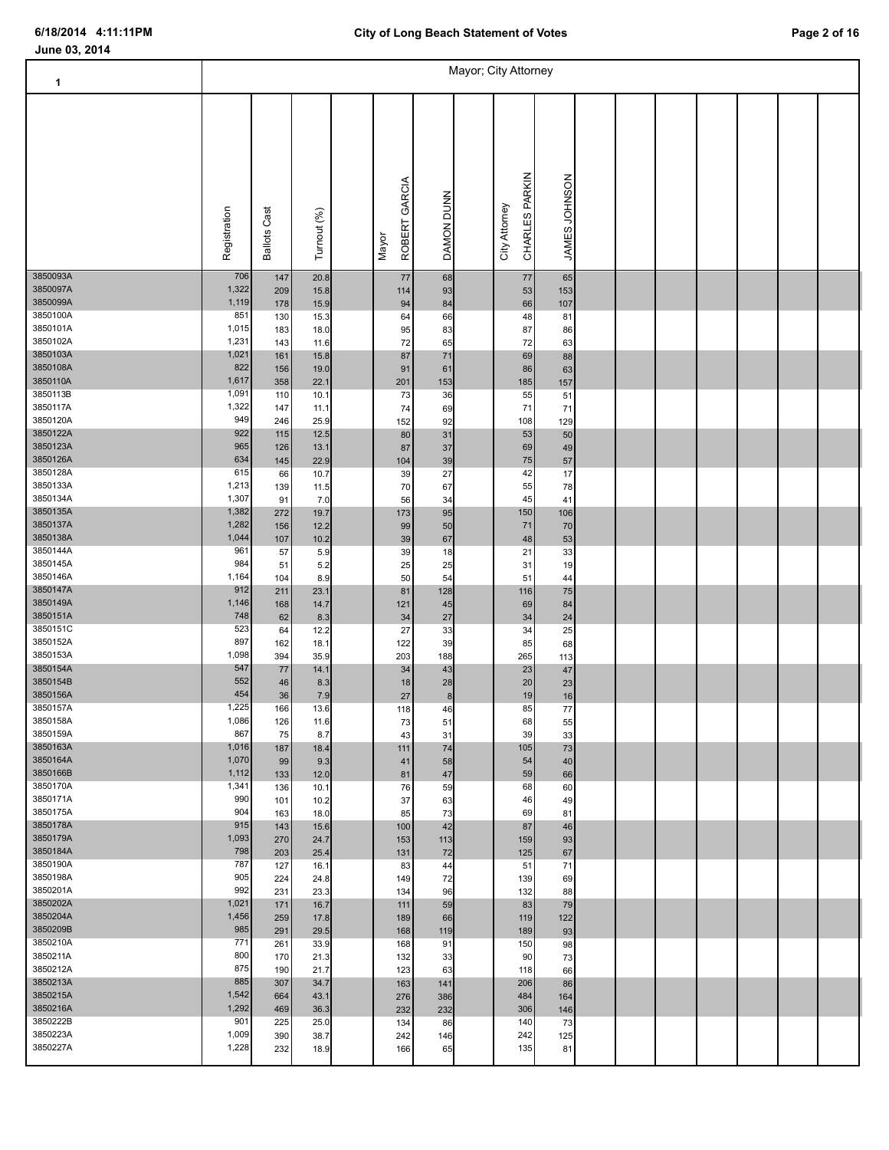Т

### **June 03, 2014**

| 1                    |                |                     |              |                        |            | Mayor; City Attorney |                                 |               |  |  |  |  |
|----------------------|----------------|---------------------|--------------|------------------------|------------|----------------------|---------------------------------|---------------|--|--|--|--|
|                      | Registration   | <b>Ballots Cast</b> | Turnout (%)  | ROBERT GARCIA<br>Mayor | DAMON DUNN |                      | CHARLES PARKIN<br>City Attorney | JAMES JOHNSON |  |  |  |  |
| 3850093A<br>3850097A | 706<br>1,322   | 147<br>209          | 20.8<br>15.8 | 77<br>114              | 68<br>93   |                      | $77\,$<br>53                    | 65<br>153     |  |  |  |  |
| 3850099A             | 1,119          | 178                 | 15.9         | 94                     | 84         |                      | 66                              | 107           |  |  |  |  |
| 3850100A             | 851            | 130                 | 15.3         | 64                     | 66         |                      | 48                              | 81            |  |  |  |  |
| 3850101A<br>3850102A | 1,015<br>1,231 | 183<br>143          | 18.0<br>11.6 | 95<br>72               | 83<br>65   |                      | 87<br>72                        | 86<br>63      |  |  |  |  |
| 3850103A             | 1,021          | 161                 | 15.8         | 87                     | $71$       |                      | 69                              | 88            |  |  |  |  |
| 3850108A             | 822            | 156                 | 19.0         | 91                     | 61         |                      | 86                              | 63            |  |  |  |  |
| 3850110A             | 1,617          | 358                 | 22.1         | 201                    | 153        |                      | 185                             | 157           |  |  |  |  |
| 3850113B<br>3850117A | 1,091<br>1,322 | 110<br>147          | 10.1<br>11.1 | 73<br>74               | 36<br>69   |                      | 55<br>71                        | 51<br>71      |  |  |  |  |
| 3850120A             | 949            | 246                 | 25.9         | 152                    | 92         |                      | 108                             | 129           |  |  |  |  |
| 3850122A             | 922            | 115                 | 12.5         | $80\,$                 | 31         |                      | 53                              | 50            |  |  |  |  |
| 3850123A             | 965            | 126                 | 13.1         | 87                     | 37         |                      | 69                              | 49            |  |  |  |  |
| 3850126A<br>3850128A | 634<br>615     | 145<br>66           | 22.9<br>10.7 | 104<br>39              | 39<br>27   |                      | 75<br>42                        | 57<br>17      |  |  |  |  |
| 3850133A             | 1,213          | 139                 | 11.5         | 70                     | 67         |                      | 55                              | 78            |  |  |  |  |
| 3850134A             | 1,307          | 91                  | 7.0          | 56                     | 34         |                      | 45                              | 41            |  |  |  |  |
| 3850135A             | 1,382          | 272                 | 19.7         | 173                    | 95         |                      | 150                             | 106           |  |  |  |  |
| 3850137A<br>3850138A | 1,282<br>1,044 | 156<br>107          | 12.2<br>10.2 | 99<br>$39\,$           | 50<br>67   |                      | 71<br>48                        | 70<br>53      |  |  |  |  |
| 3850144A             | 961            | 57                  | 5.9          | 39                     | 18         |                      | 21                              | 33            |  |  |  |  |
| 3850145A             | 984            | 51                  | 5.2          | 25                     | 25         |                      | 31                              | 19            |  |  |  |  |
| 3850146A             | 1,164          | 104                 | 8.9          | 50                     | 54         |                      | 51                              | 44            |  |  |  |  |
| 3850147A<br>3850149A | 912<br>1,146   | 211<br>168          | 23.1<br>14.7 | 81<br>121              | 128<br>45  |                      | 116<br>69                       | 75<br>84      |  |  |  |  |
| 3850151A             | 748            | 62                  | 8.3          | 34                     | 27         |                      | 34                              | $24\,$        |  |  |  |  |
| 3850151C             | 523            | 64                  | 12.2         | 27                     | 33         |                      | 34                              | 25            |  |  |  |  |
| 3850152A             | 897            | 162                 | 18.1         | 122                    | 39         |                      | 85                              | 68            |  |  |  |  |
| 3850153A<br>3850154A | 1,098<br>547   | 394<br>$77\,$       | 35.9<br>14.1 | 203<br>34              | 188<br>43  |                      | 265<br>23                       | 113<br>$47\,$ |  |  |  |  |
| 3850154B             | 552            | 46                  | 8.3          | 18                     | 28         |                      | 20 <sub>2</sub>                 | 23            |  |  |  |  |
| 3850156A             | 454            | 36                  | 7.9          | 27                     | 8          |                      | 19                              | 16            |  |  |  |  |
| 3850157A<br>3850158A | 1,225<br>1,086 | 166                 | 13.6         | 118                    | 46         |                      | 85                              | 77            |  |  |  |  |
| 3850159A             | 867            | 126<br>75           | 11.6<br>8.7  | 73<br>43               | 51<br>31   |                      | 68<br>39                        | 55<br>33      |  |  |  |  |
| 3850163A             | 1,016          | 187                 | 18.4         | 111                    | 74         |                      | 105                             | 73            |  |  |  |  |
| 3850164A             | 1,070          | 99                  | 9.3          | 41                     | 58         |                      | 54                              | 40            |  |  |  |  |
| 3850166B<br>3850170A | 1,112<br>1,341 | 133                 | 12.0         | 81                     | 47         |                      | 59                              | 66            |  |  |  |  |
| 3850171A             | 990            | 136<br>101          | 10.1<br>10.2 | 76<br>37               | 59<br>63   |                      | 68<br>46                        | 60<br>49      |  |  |  |  |
| 3850175A             | 904            | 163                 | 18.0         | 85                     | 73         |                      | 69                              | 81            |  |  |  |  |
| 3850178A             | 915            | 143                 | 15.6         | 100                    | 42         |                      | 87                              | 46            |  |  |  |  |
| 3850179A<br>3850184A | 1,093<br>798   | 270                 | 24.7         | 153                    | 113        |                      | 159<br>125                      | 93            |  |  |  |  |
| 3850190A             | 787            | 203<br>127          | 25.4<br>16.1 | 131<br>83              | 72<br>44   |                      | 51                              | 67<br>71      |  |  |  |  |
| 3850198A             | 905            | 224                 | 24.8         | 149                    | 72         |                      | 139                             | 69            |  |  |  |  |
| 3850201A             | 992            | 231                 | 23.3         | 134                    | 96         |                      | 132                             | 88            |  |  |  |  |
| 3850202A<br>3850204A | 1,021<br>1,456 | 171                 | 16.7         | 111                    | 59         |                      | 83                              | 79            |  |  |  |  |
| 3850209B             | 985            | 259<br>291          | 17.8<br>29.5 | 189<br>168             | 66<br>119  |                      | 119<br>189                      | 122<br>93     |  |  |  |  |
| 3850210A             | 771            | 261                 | 33.9         | 168                    | 91         |                      | 150                             | 98            |  |  |  |  |
| 3850211A             | 800            | 170                 | 21.3         | 132                    | 33         |                      | 90                              | 73            |  |  |  |  |
| 3850212A             | 875            | 190                 | 21.7         | 123                    | 63         |                      | 118                             | 66            |  |  |  |  |
| 3850213A<br>3850215A | 885<br>1,542   | 307                 | 34.7         | 163                    | 141        |                      | 206<br>484                      | 86            |  |  |  |  |
| 3850216A             | 1,292          | 664<br>469          | 43.1<br>36.3 | 276<br>232             | 386<br>232 |                      | 306                             | 164<br>146    |  |  |  |  |
| 3850222B             | 901            | 225                 | 25.0         | 134                    | 86         |                      | 140                             | 73            |  |  |  |  |
| 3850223A             | 1,009          | 390                 | 38.7         | 242                    | 146        |                      | 242                             | 125           |  |  |  |  |

3850227A 1,228 232 18.9 166 65 135 81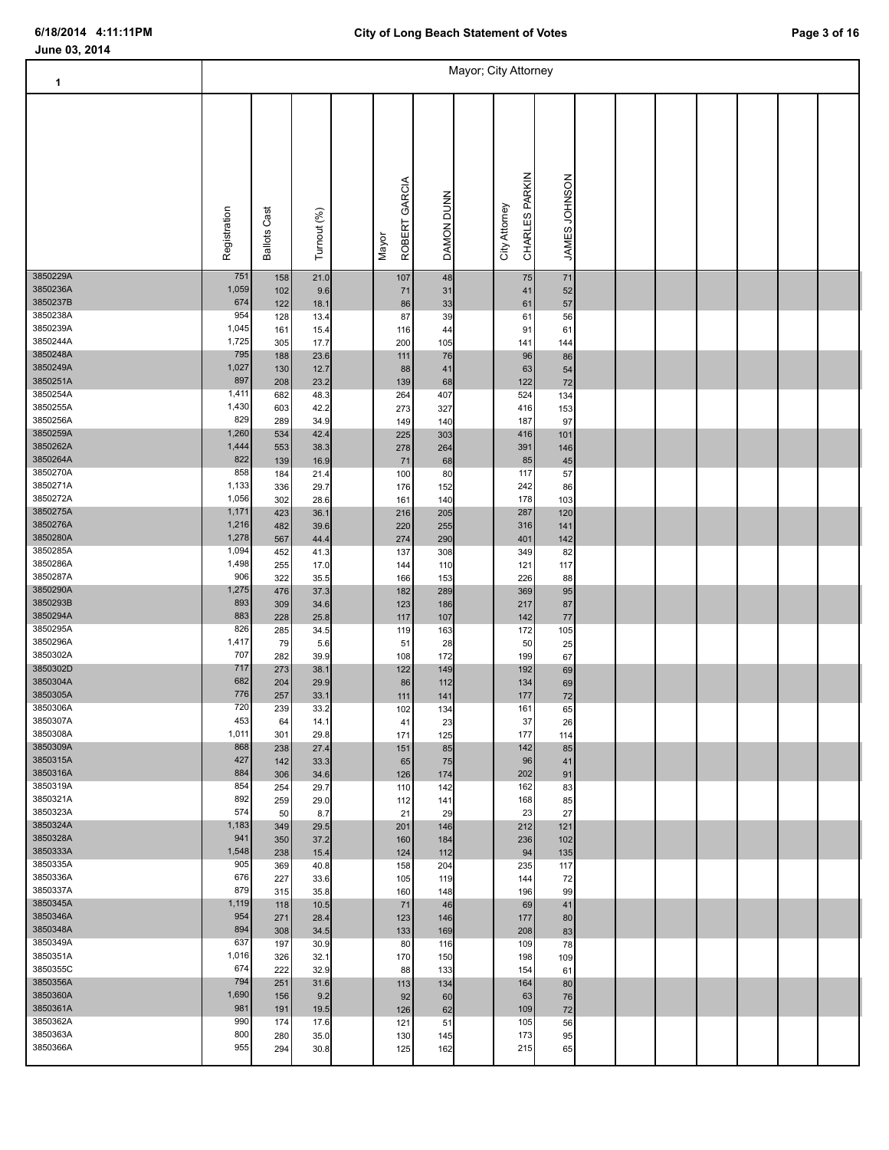Т

### **June 03, 2014**

| 1                    |                |                     |              |                        |            | Mayor; City Attorney |                                 |               |  |  |  |  |
|----------------------|----------------|---------------------|--------------|------------------------|------------|----------------------|---------------------------------|---------------|--|--|--|--|
|                      | Registration   | <b>Ballots Cast</b> | Turnout (%)  | ROBERT GARCIA<br>Mayor | DAMON DUNN |                      | CHARLES PARKIN<br>City Attorney | JAMES JOHNSON |  |  |  |  |
| 3850229A             | 751            | 158                 | 21.0         | 107                    | 48         |                      | 75                              | 71            |  |  |  |  |
| 3850236A<br>3850237B | 1,059<br>674   | 102<br>122          | 9.6<br>18.1  | 71<br>86               | 31<br>33   |                      | 41<br>61                        | 52<br>57      |  |  |  |  |
| 3850238A             | 954            | 128                 | 13.4         | 87                     | 39         |                      | 61                              | 56            |  |  |  |  |
| 3850239A             | 1,045          | 161                 | 15.4         | 116                    | 44         |                      | 91                              | 61            |  |  |  |  |
| 3850244A<br>3850248A | 1,725<br>795   | 305<br>188          | 17.7<br>23.6 | 200<br>111             | 105<br>76  |                      | 141<br>96                       | 144<br>86     |  |  |  |  |
| 3850249A             | 1,027          | 130                 | 12.7         | 88                     | 41         |                      | 63                              | 54            |  |  |  |  |
| 3850251A             | 897            | 208                 | 23.2         | 139                    | 68         |                      | 122                             | $72\,$        |  |  |  |  |
| 3850254A<br>3850255A | 1,411<br>1,430 | 682                 | 48.3         | 264                    | 407        |                      | 524                             | 134           |  |  |  |  |
| 3850256A             | 829            | 603<br>289          | 42.2<br>34.9 | 273<br>149             | 327<br>140 |                      | 416<br>187                      | 153<br>97     |  |  |  |  |
| 3850259A             | 1,260          | 534                 | 42.4         | 225                    | 303        |                      | 416                             | 101           |  |  |  |  |
| 3850262A             | 1,444          | 553                 | 38.3         | 278                    | 264        |                      | 391                             | 146           |  |  |  |  |
| 3850264A<br>3850270A | 822<br>858     | 139                 | 16.9         | $\bf 71$               | 68         |                      | 85<br>117                       | $45\,$<br>57  |  |  |  |  |
| 3850271A             | 1,133          | 184<br>336          | 21.4<br>29.7 | 100<br>176             | 80<br>152  |                      | 242                             | 86            |  |  |  |  |
| 3850272A             | 1,056          | 302                 | 28.6         | 161                    | 140        |                      | 178                             | 103           |  |  |  |  |
| 3850275A             | 1,171          | 423                 | 36.1         | 216                    | 205        |                      | 287                             | 120           |  |  |  |  |
| 3850276A<br>3850280A | 1,216<br>1,278 | 482<br>567          | 39.6<br>44.4 | 220<br>274             | 255<br>290 |                      | 316<br>401                      | 141<br>142    |  |  |  |  |
| 3850285A             | 1,094          | 452                 | 41.3         | 137                    | 308        |                      | 349                             | 82            |  |  |  |  |
| 3850286A             | 1,498          | 255                 | 17.0         | 144                    | 110        |                      | 121                             | 117           |  |  |  |  |
| 3850287A<br>3850290A | 906<br>1,275   | 322                 | 35.5         | 166                    | 153        |                      | 226                             | 88            |  |  |  |  |
| 3850293B             | 893            | 476<br>309          | 37.3<br>34.6 | 182<br>123             | 289<br>186 |                      | 369<br>217                      | 95<br>87      |  |  |  |  |
| 3850294A             | 883            | 228                 | 25.8         | 117                    | 107        |                      | 142                             | $77\,$        |  |  |  |  |
| 3850295A             | 826            | 285                 | 34.5         | 119                    | 163        |                      | 172                             | 105           |  |  |  |  |
| 3850296A<br>3850302A | 1,417<br>707   | 79<br>282           | 5.6<br>39.9  | 51<br>108              | 28<br>172  |                      | 50<br>199                       | 25<br>67      |  |  |  |  |
| 3850302D             | 717            | 273                 | 38.1         | 122                    | 149        |                      | 192                             | 69            |  |  |  |  |
| 3850304A             | 682            | 204                 | 29.9         | 86                     | 112        |                      | 134                             | 69            |  |  |  |  |
| 3850305A             | 776            | 257                 | 33.1         | 111                    | 141        |                      | 177                             | $72\,$        |  |  |  |  |
| 3850306A<br>3850307A | 720<br>453     | 239<br>64           | 33.2<br>14.1 | 102<br>41              | 134<br>23  |                      | 161<br>37                       | 65<br>26      |  |  |  |  |
| 3850308A             | 1,011          | 301                 | 29.8         | 171                    | 125        |                      | 177                             | 114           |  |  |  |  |
| 3850309A             | 868            | 238                 | 27.4         | 151                    | 85         |                      | 142                             | 85            |  |  |  |  |
| 3850315A<br>3850316A | 427<br>884     | 142<br>306          | 33.3<br>34.6 | 65<br>126              | 75<br>174  |                      | 96<br>202                       | 41<br>91      |  |  |  |  |
| 3850319A             | 854            | 254                 | 29.7         | 110                    | 142        |                      | 162                             | 83            |  |  |  |  |
| 3850321A             | 892            | 259                 | 29.0         | 112                    | 141        |                      | 168                             | 85            |  |  |  |  |
| 3850323A             | 574            | 50                  | 8.7          | 21                     | 29         |                      | 23                              | 27            |  |  |  |  |
| 3850324A<br>3850328A | 1,183<br>941   | 349<br>350          | 29.5<br>37.2 | 201<br>160             | 146<br>184 |                      | 212<br>236                      | 121<br>102    |  |  |  |  |
| 3850333A             | 1,548          | 238                 | 15.4         | 124                    | 112        |                      | 94                              | 135           |  |  |  |  |
| 3850335A             | 905            | 369                 | 40.8         | 158                    | 204        |                      | 235                             | 117           |  |  |  |  |
| 3850336A             | 676<br>879     | 227                 | 33.6         | 105                    | 119        |                      | 144                             | 72            |  |  |  |  |
| 3850337A<br>3850345A | 1,119          | 315<br>118          | 35.8<br>10.5 | 160<br>71              | 148<br>46  |                      | 196<br>69                       | 99<br>41      |  |  |  |  |
| 3850346A             | 954            | 271                 | 28.4         | 123                    | 146        |                      | 177                             | 80            |  |  |  |  |
| 3850348A             | 894            | 308                 | 34.5         | 133                    | 169        |                      | 208                             | 83            |  |  |  |  |
| 3850349A             | 637            | 197                 | 30.9         | 80                     | 116        |                      | 109                             | 78            |  |  |  |  |
| 3850351A<br>3850355C | 1,016<br>674   | 326<br>222          | 32.1<br>32.9 | 170<br>88              | 150<br>133 |                      | 198<br>154                      | 109<br>61     |  |  |  |  |
| 3850356A             | 794            | 251                 | 31.6         | 113                    | 134        |                      | 164                             | 80            |  |  |  |  |
| 3850360A             | 1,690          | 156                 | 9.2          | 92                     | 60         |                      | 63                              | 76            |  |  |  |  |
| 3850361A<br>3850362A | 981<br>990     | 191                 | 19.5         | 126                    | 62         |                      | 109                             | 72            |  |  |  |  |
| 3850363A             | 800            | 174<br>280          | 17.6<br>35.0 | 121<br>130             | 51<br>145  |                      | 105<br>173                      | 56<br>95      |  |  |  |  |
|                      |                |                     |              |                        |            |                      |                                 |               |  |  |  |  |

3850366A 955 294 30.8 125 162 215 65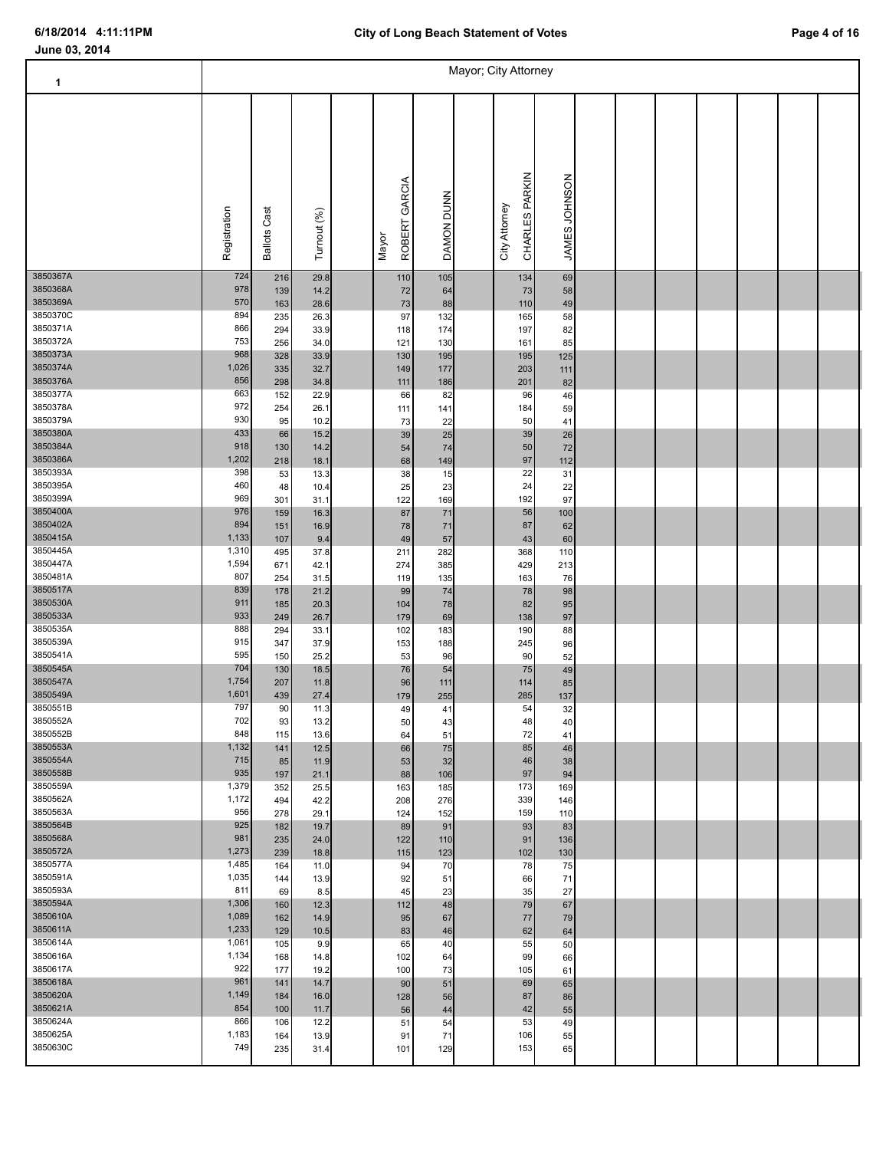Т

### **June 03, 2014**

| 1                    |                |                     |              |                        |            | Mayor; City Attorney |                                 |               |  |  |  |  |
|----------------------|----------------|---------------------|--------------|------------------------|------------|----------------------|---------------------------------|---------------|--|--|--|--|
|                      | Registration   | <b>Ballots Cast</b> | Turnout (%)  | ROBERT GARCIA<br>Mayor | DAMON DUNN |                      | CHARLES PARKIN<br>City Attorney | JAMES JOHNSON |  |  |  |  |
| 3850367A<br>3850368A | 724<br>978     | 216<br>139          | 29.8<br>14.2 | 110<br>72              | 105<br>64  |                      | 134<br>73                       | 69<br>58      |  |  |  |  |
| 3850369A             | 570            | 163                 | 28.6         | $73\,$                 | 88         |                      | 110                             | 49            |  |  |  |  |
| 3850370C             | 894            | 235                 | 26.3         | 97                     | 132        |                      | 165                             | 58            |  |  |  |  |
| 3850371A<br>3850372A | 866<br>753     | 294<br>256          | 33.9<br>34.0 | 118<br>121             | 174<br>130 |                      | 197<br>161                      | 82<br>85      |  |  |  |  |
| 3850373A             | 968            | 328                 | 33.9         | 130                    | 195        |                      | 195                             | 125           |  |  |  |  |
| 3850374A             | 1,026          | 335                 | 32.7         | 149                    | 177        |                      | 203                             | 111           |  |  |  |  |
| 3850376A             | 856            | 298                 | 34.8         | 111                    | 186        |                      | 201                             | 82            |  |  |  |  |
| 3850377A<br>3850378A | 663<br>972     | 152<br>254          | 22.9<br>26.1 | 66<br>111              | 82<br>141  |                      | 96<br>184                       | 46<br>59      |  |  |  |  |
| 3850379A             | 930            | 95                  | 10.2         | 73                     | 22         |                      | 50                              | 41            |  |  |  |  |
| 3850380A             | 433            | 66                  | 15.2         | 39                     | 25         |                      | 39                              | 26            |  |  |  |  |
| 3850384A             | 918            | 130                 | 14.2         | 54                     | 74         |                      | 50                              | 72            |  |  |  |  |
| 3850386A<br>3850393A | 1,202<br>398   | 218<br>53           | 18.1<br>13.3 | 68<br>38               | 149<br>15  |                      | 97<br>22                        | $112$<br>31   |  |  |  |  |
| 3850395A             | 460            | 48                  | 10.4         | 25                     | 23         |                      | 24                              | 22            |  |  |  |  |
| 3850399A             | 969            | 301                 | 31.1         | 122                    | 169        |                      | 192                             | 97            |  |  |  |  |
| 3850400A<br>3850402A | 976<br>894     | 159                 | 16.3         | 87                     | 71         |                      | 56                              | 100           |  |  |  |  |
| 3850415A             | 1,133          | 151<br>107          | 16.9<br>9.4  | 78<br>49               | $71$<br>57 |                      | 87<br>43                        | 62<br>60      |  |  |  |  |
| 3850445A             | 1,310          | 495                 | 37.8         | 211                    | 282        |                      | 368                             | 110           |  |  |  |  |
| 3850447A             | 1,594          | 671                 | 42.1         | 274                    | 385        |                      | 429                             | 213           |  |  |  |  |
| 3850481A<br>3850517A | 807<br>839     | 254                 | 31.5         | 119                    | 135        |                      | 163                             | 76            |  |  |  |  |
| 3850530A             | 911            | 178<br>185          | 21.2<br>20.3 | 99<br>104              | 74<br>78   |                      | 78<br>82                        | 98<br>95      |  |  |  |  |
| 3850533A             | 933            | 249                 | 26.7         | 179                    | 69         |                      | 138                             | 97            |  |  |  |  |
| 3850535A             | 888            | 294                 | 33.1         | 102                    | 183        |                      | 190                             | 88            |  |  |  |  |
| 3850539A             | 915<br>595     | 347                 | 37.9         | 153                    | 188        |                      | 245                             | 96            |  |  |  |  |
| 3850541A<br>3850545A | 704            | 150<br>130          | 25.2<br>18.5 | 53<br>76               | 96<br>54   |                      | 90<br>75                        | 52<br>49      |  |  |  |  |
| 3850547A             | 1,754          | 207                 | 11.8         | 96                     | 111        |                      | 114                             | 85            |  |  |  |  |
| 3850549A             | 1,601          | 439                 | 27.4         | 179                    | 255        |                      | 285                             | 137           |  |  |  |  |
| 3850551B             | 797            | 90                  | 11.3         | 49                     | 41         |                      | 54                              | 32            |  |  |  |  |
| 3850552A<br>3850552B | 702<br>848     | 93<br>115           | 13.2<br>13.6 | 50<br>64               | 43<br>51   |                      | 48<br>72                        | 40<br>41      |  |  |  |  |
| 3850553A             | 1,132          | 141                 | 12.5         | 66                     | 75         |                      | 85                              | 46            |  |  |  |  |
| 3850554A             | 715            | 85                  | 11.9         | 53                     | 32         |                      | 46                              | 38            |  |  |  |  |
| 3850558B<br>3850559A | 935<br>1,379   | 197                 | 21.1         | 88                     | 106        |                      | 97                              | 94            |  |  |  |  |
| 3850562A             | 1,172          | 352<br>494          | 25.5<br>42.2 | 163<br>208             | 185<br>276 |                      | 173<br>339                      | 169<br>146    |  |  |  |  |
| 3850563A             | 956            | 278                 | 29.1         | 124                    | 152        |                      | 159                             | 110           |  |  |  |  |
| 3850564B             | 925            | 182                 | 19.7         | 89                     | 91         |                      | 93                              | 83            |  |  |  |  |
| 3850568A             | 981            | 235                 | 24.0         | 122                    | 110        |                      | 91                              | 136           |  |  |  |  |
| 3850572A<br>3850577A | 1,273<br>1,485 | 239<br>164          | 18.8<br>11.0 | 115<br>94              | 123<br>70  |                      | 102<br>78                       | 130<br>75     |  |  |  |  |
| 3850591A             | 1,035          | 144                 | 13.9         | 92                     | 51         |                      | 66                              | 71            |  |  |  |  |
| 3850593A             | 811            | 69                  | 8.5          | 45                     | 23         |                      | 35                              | 27            |  |  |  |  |
| 3850594A             | 1,306          | 160                 | 12.3         | 112                    | 48         |                      | 79                              | 67            |  |  |  |  |
| 3850610A<br>3850611A | 1,089<br>1,233 | 162<br>129          | 14.9<br>10.5 | 95<br>83               | 67<br>46   |                      | 77<br>62                        | 79<br>64      |  |  |  |  |
| 3850614A             | 1,061          | 105                 | 9.9          | 65                     | 40         |                      | 55                              | 50            |  |  |  |  |
| 3850616A             | 1,134          | 168                 | 14.8         | 102                    | 64         |                      | 99                              | 66            |  |  |  |  |
| 3850617A             | 922            | 177                 | 19.2         | 100                    | 73         |                      | 105                             | 61            |  |  |  |  |
| 3850618A             | 961<br>1,149   | 141                 | 14.7         | 90                     | 51         |                      | 69                              | 65            |  |  |  |  |
| 3850620A<br>3850621A | 854            | 184<br>100          | 16.0<br>11.7 | 128<br>56              | 56<br>44   |                      | 87<br>42                        | 86<br>55      |  |  |  |  |
| 3850624A             | 866            | 106                 | 12.2         | 51                     | 54         |                      | 53                              | 49            |  |  |  |  |
| 3850625A             | 1,183          | 164                 | 13.9         | 91                     | 71         |                      | 106                             | 55            |  |  |  |  |

3850630C 749 235 31.4 101 129 153 65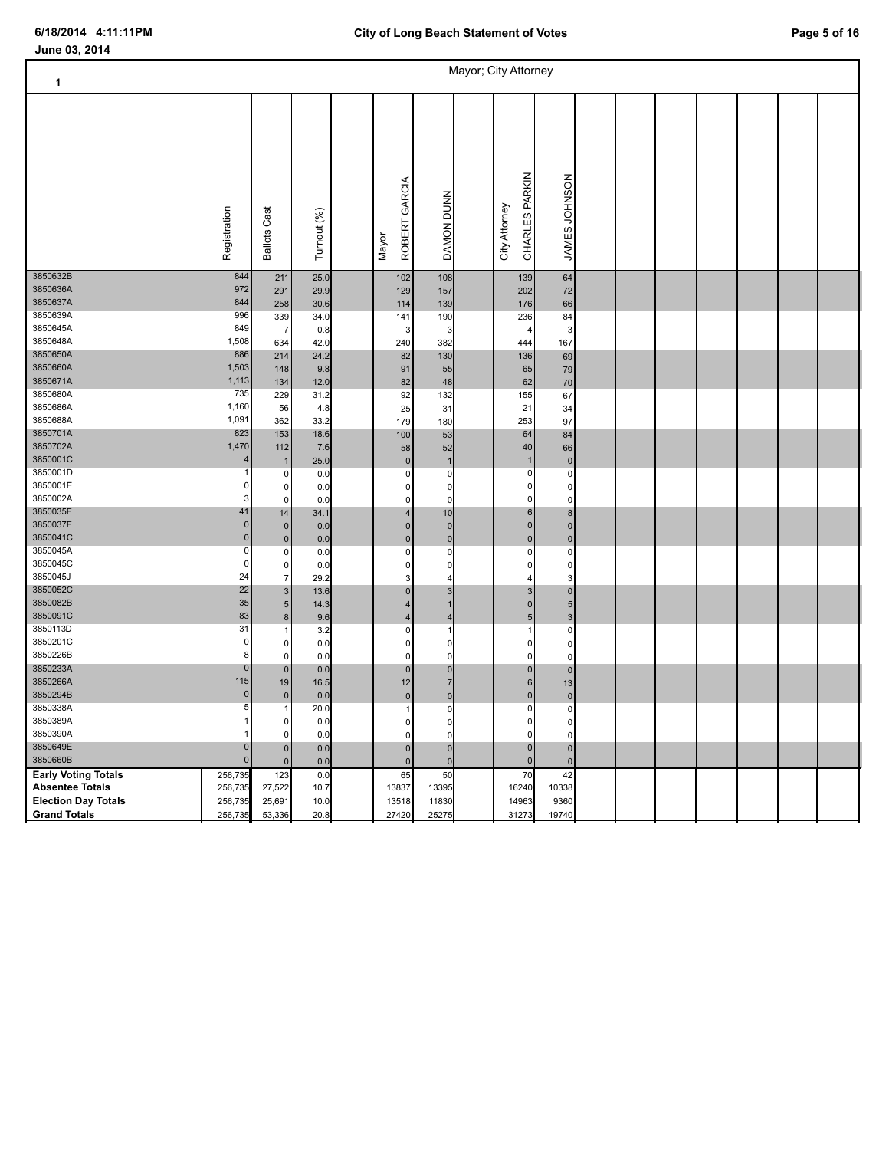| 1                          |                         |                           |             |                        |                | Mayor; City Attorney            |                             |  |  |  |  |
|----------------------------|-------------------------|---------------------------|-------------|------------------------|----------------|---------------------------------|-----------------------------|--|--|--|--|
|                            | Registration            | <b>Ballots Cast</b>       | Turnout (%) | ROBERT GARCIA<br>Mayor | DAMON DUNN     | CHARLES PARKIN<br>City Attorney | JAMES JOHNSON               |  |  |  |  |
| 3850632B                   | 844                     | 211                       | 25.0        | 102                    | 108            | 139                             | 64                          |  |  |  |  |
| 3850636A                   | 972                     | 291                       | 29.9        | 129                    | 157            | 202                             | 72                          |  |  |  |  |
| 3850637A                   | 844                     | 258                       | 30.6        | 114                    | 139            | 176                             | 66                          |  |  |  |  |
| 3850639A                   | 996                     | 339                       | 34.0        | 141                    | 190            | 236                             | 84                          |  |  |  |  |
| 3850645A                   | 849                     | $\overline{7}$            | 0.8         | 3                      | З              | 4                               | 3                           |  |  |  |  |
| 3850648A                   | 1,508                   | 634                       | 42.0        | 240                    | 382            | 444                             | 167                         |  |  |  |  |
| 3850650A                   | 886                     | 214                       | 24.2        | 82                     | 130            | 136                             | 69                          |  |  |  |  |
| 3850660A                   | 1,503                   | 148                       | 9.8         | 91                     | 55             | 65                              | 79                          |  |  |  |  |
| 3850671A                   | 1,113                   | 134                       | 12.0        | 82                     | 48             | 62                              | 70                          |  |  |  |  |
| 3850680A                   | 735                     | 229                       | 31.2        | 92                     | 132            | 155                             | 67                          |  |  |  |  |
| 3850686A                   | 1,160                   | 56                        | 4.8         | 25                     | 31             | 21                              | 34                          |  |  |  |  |
| 3850688A<br>3850701A       | 1,091                   | 362                       | 33.2        | 179                    | 180            | 253                             | 97                          |  |  |  |  |
|                            | 823                     | 153                       | 18.6        | 100                    | 53             | 64                              | 84                          |  |  |  |  |
| 3850702A                   | 1,470<br>$\overline{4}$ | 112                       | 7.6         | 58                     | 52             | 40                              | 66                          |  |  |  |  |
| 3850001C<br>3850001D       |                         | $\overline{1}$            | 25.0        | $\mathbf 0$            |                | $\overline{1}$                  | $\mathbf 0$                 |  |  |  |  |
| 3850001E                   | 0                       | $\pmb{0}$                 | 0.0         | $\pmb{0}$              | 0              | $\mathbf 0$                     | 0                           |  |  |  |  |
| 3850002A                   | 3                       | $\pmb{0}$<br>$\mathbf 0$  | 0.0         | 0<br>$\mathbf 0$       | 0<br>$\Omega$  | 0<br>0                          | $\pmb{0}$                   |  |  |  |  |
| 3850035F                   | 41                      |                           | 0.0         | $\overline{4}$         | 10             | 6                               | $\pmb{0}$<br>8 <sup>1</sup> |  |  |  |  |
| 3850037F                   | $\pmb{0}$               | 14<br>$\pmb{0}$           | 34.1        | $\mathbf 0$            | $\Omega$       | $\mathbf{0}$                    | $\pmb{0}$                   |  |  |  |  |
| 3850041C                   | $\pmb{0}$               | $\pmb{0}$                 | 0.0<br>0.0  | $\pmb{0}$              | $\mathbf 0$    | $\mathbf 0$                     | $\overline{0}$              |  |  |  |  |
| 3850045A                   | 0                       | $\pmb{0}$                 | 0.0         | $\mathbf 0$            | 0              | 0                               | $\pmb{0}$                   |  |  |  |  |
| 3850045C                   | 0                       | $\mathbf 0$               | 0.0         | $\mathbf 0$            | $\Omega$       | $\mathbf 0$                     | $\pmb{0}$                   |  |  |  |  |
| 3850045J                   | 24                      | $\overline{7}$            | 29.2        | 3                      | 4              |                                 | 3                           |  |  |  |  |
| 3850052C                   | 22                      | $\ensuremath{\mathsf{3}}$ | 13.6        | $\pmb{0}$              | 3              | 3                               | $\overline{0}$              |  |  |  |  |
| 3850082B                   | 35                      | $\sqrt{5}$                | 14.3        | $\overline{4}$         | 1              | $\Omega$                        | 5 <sup>1</sup>              |  |  |  |  |
| 3850091C                   | 83                      | $\bf8$                    | 9.6         | $\overline{4}$         | 4              | 5                               | $\mathbf{3}$                |  |  |  |  |
| 3850113D                   | 31                      | $\overline{1}$            | 3.2         | $\pmb{0}$              | 1              | 1                               | $\circ$                     |  |  |  |  |
| 3850201C                   | 0                       | $\mathbf 0$               | 0.0         | $\mathbf 0$            | $\Omega$       | 0                               | $\pmb{0}$                   |  |  |  |  |
| 3850226B                   | 8                       | $\mathbf 0$               | 0.0         | $\Omega$               | $\Omega$       | $\Omega$                        | $\mathbf 0$                 |  |  |  |  |
| 3850233A                   | $\pmb{0}$               | $\pmb{0}$                 | 0.0         | $\pmb{0}$              | $\mathbf 0$    | $\overline{0}$                  | $\overline{0}$              |  |  |  |  |
| 3850266A                   | 115                     | 19                        | 16.5        | 12                     | $\overline{7}$ | 6                               | 13                          |  |  |  |  |
| 3850294B                   | 0                       | $\pmb{0}$                 | 0.0         | $\mathbf 0$            | $\mathbf 0$    | $\Omega$                        | $\overline{0}$              |  |  |  |  |
| 3850338A                   | 5                       |                           | 20.0        | -1                     | 0              | 0                               | 0                           |  |  |  |  |
| 3850389A                   | 1                       | 0                         | 0.0         | $\mathbf 0$            | 0              | 0                               | $\circ$                     |  |  |  |  |
| 3850390A                   |                         | $\mathbf 0$               | 0.0         | $\Omega$               | $\Omega$       | $\Omega$                        | $\mathbf 0$                 |  |  |  |  |
| 3850649E                   | 0                       | $\pmb{0}$                 | 0.0         | $\pmb{0}$              | $\mathbf 0$    | $\overline{0}$                  | $\pmb{0}$                   |  |  |  |  |
| 3850660B                   | $\mathbf{0}$            | $\pmb{0}$                 | 0.0         | $\mathbf 0$            | $\Omega$       | $\overline{0}$                  | $\mathbf 0$                 |  |  |  |  |
| <b>Early Voting Totals</b> | 256,735                 | 123                       | 0.0         | 65                     | 50             | 70                              | 42                          |  |  |  |  |
| <b>Absentee Totals</b>     | 256,73                  | 27,522                    | 10.7        | 13837                  | 13395          | 16240                           | 10338                       |  |  |  |  |
| <b>Election Day Totals</b> | 256,735                 | 25,691                    | 10.0        | 13518                  | 11830          | 14963                           | 9360                        |  |  |  |  |
| <b>Grand Totals</b>        | 256,735                 | 53,336                    | 20.8        | 27420                  | 25275          | 31273                           | 19740                       |  |  |  |  |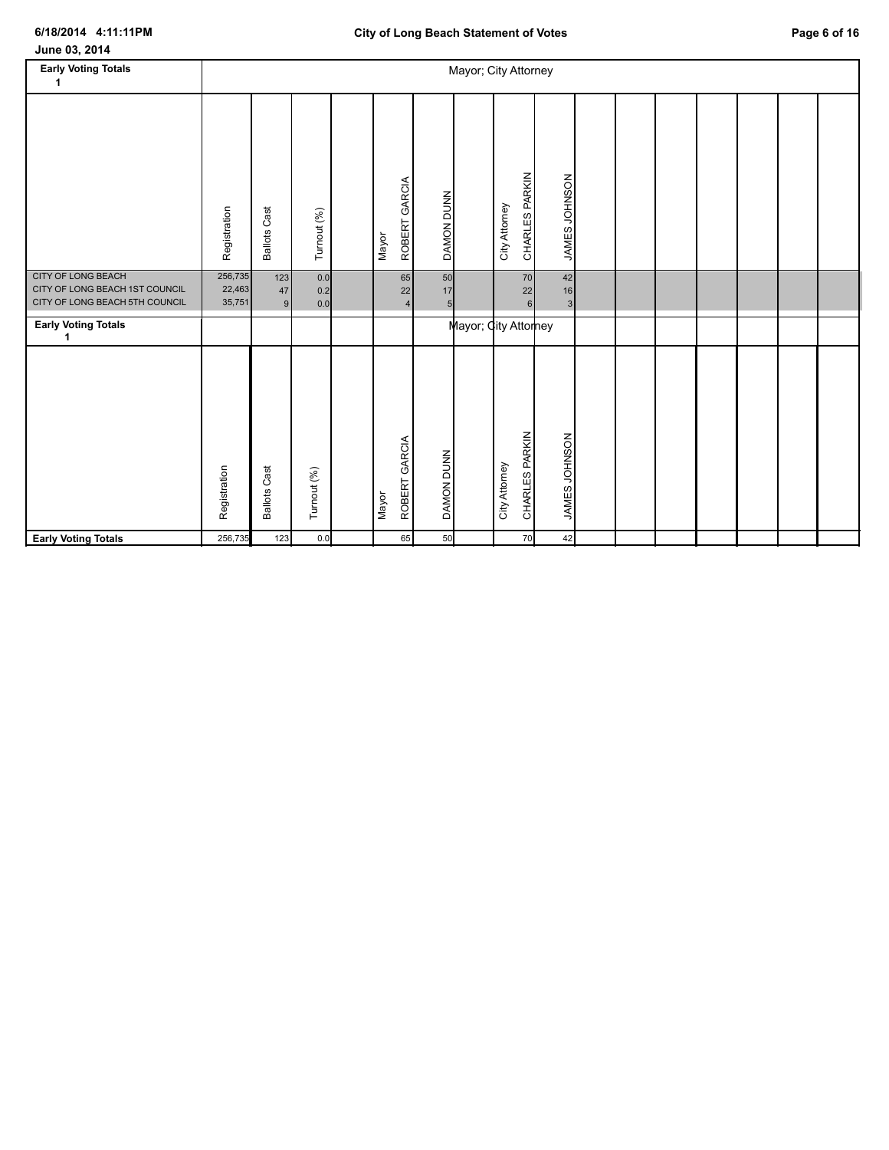| June 03, 2014                                               |                   |                     |             |                        |                   |                      |                                 |               |  |  |  |  |
|-------------------------------------------------------------|-------------------|---------------------|-------------|------------------------|-------------------|----------------------|---------------------------------|---------------|--|--|--|--|
| <b>Early Voting Totals</b><br>1                             |                   |                     |             |                        |                   | Mayor; City Attorney |                                 |               |  |  |  |  |
|                                                             |                   |                     |             |                        |                   |                      |                                 |               |  |  |  |  |
|                                                             | Registration      | <b>Ballots Cast</b> | Turnout (%) | ROBERT GARCIA<br>Mayor | DAMON DUNN        |                      | CHARLES PARKIN<br>City Attorney | JAMES JOHNSON |  |  |  |  |
| <b>CITY OF LONG BEACH</b><br>CITY OF LONG BEACH 1ST COUNCIL | 256,735<br>22,463 | 123                 | 0.0         | 65                     | 50                |                      | 70                              | 42            |  |  |  |  |
| CITY OF LONG BEACH 5TH COUNCIL                              | 35,751            | 47<br>9             | 0.2<br>0.0  | 22<br>$\overline{4}$   | 17<br>5           |                      | $22\,$<br>$6 \overline{6}$      | 16<br>3       |  |  |  |  |
| <b>Early Voting Totals</b><br>1                             |                   |                     |             |                        |                   | Mayor; City Attorney |                                 |               |  |  |  |  |
|                                                             | Registration      | <b>Ballots Cast</b> | Turnout (%) | ROBERT GARCIA<br>Mayor | <b>DAMON DUNN</b> |                      | CHARLES PARKIN<br>City Attorney | JAMES JOHNSON |  |  |  |  |
| <b>Early Voting Totals</b>                                  | 256,735           | 123                 | 0.0         | 65                     | 50                |                      | 70                              | 42            |  |  |  |  |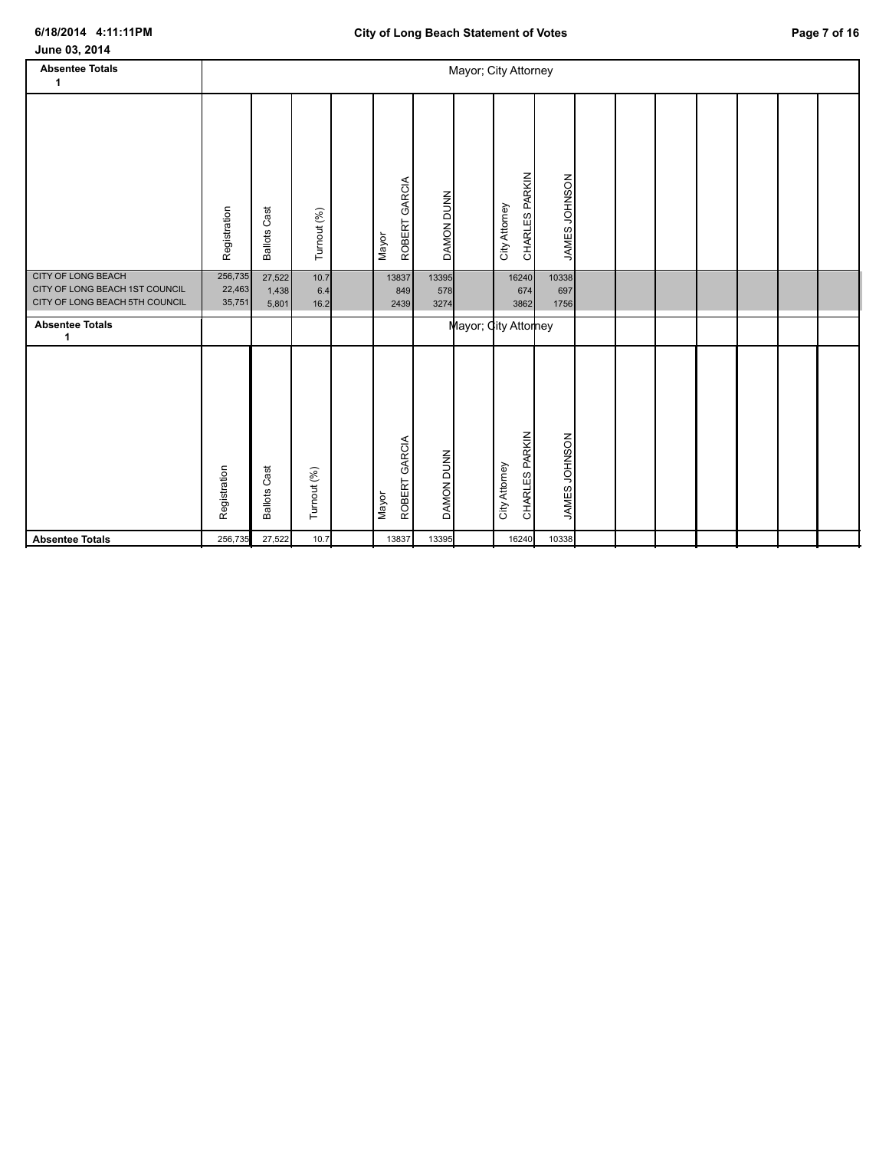| June 03, 2014 |  |  |
|---------------|--|--|
|---------------|--|--|

| <b>Absentee Totals</b><br>1                                                                   |                             |                          |                     |                           |                      | Mayor; City Attorney            |                      |  |  |  |  |
|-----------------------------------------------------------------------------------------------|-----------------------------|--------------------------|---------------------|---------------------------|----------------------|---------------------------------|----------------------|--|--|--|--|
|                                                                                               | Registration                | <b>Ballots Cast</b>      | Turnout (%)         | ROBERT GARCIA<br>Mayor    | DAMON DUNN           | CHARLES PARKIN<br>City Attorney | JAMES JOHNSON        |  |  |  |  |
| <b>CITY OF LONG BEACH</b><br>CITY OF LONG BEACH 1ST COUNCIL<br>CITY OF LONG BEACH 5TH COUNCIL | 256,735<br>22,463<br>35,751 | 27,522<br>1,438<br>5,801 | 10.7<br>6.4<br>16.2 | 13837<br>849<br>2439      | 13395<br>578<br>3274 | 16240<br>674<br>3862            | 10338<br>697<br>1756 |  |  |  |  |
| <b>Absentee Totals</b><br>1                                                                   |                             |                          |                     |                           |                      | Mayor; City Attorney            |                      |  |  |  |  |
|                                                                                               | Registration                | <b>Ballots Cast</b>      | Turnout (%)         | GARCIA<br>ROBERT<br>Mayor | DAMON DUNN           | CHARLES PARKIN<br>City Attorney | JAMES JOHNSON        |  |  |  |  |
| <b>Absentee Totals</b>                                                                        | 256,735                     | 27,522                   | 10.7                | 13837                     | 13395                | 16240                           | 10338                |  |  |  |  |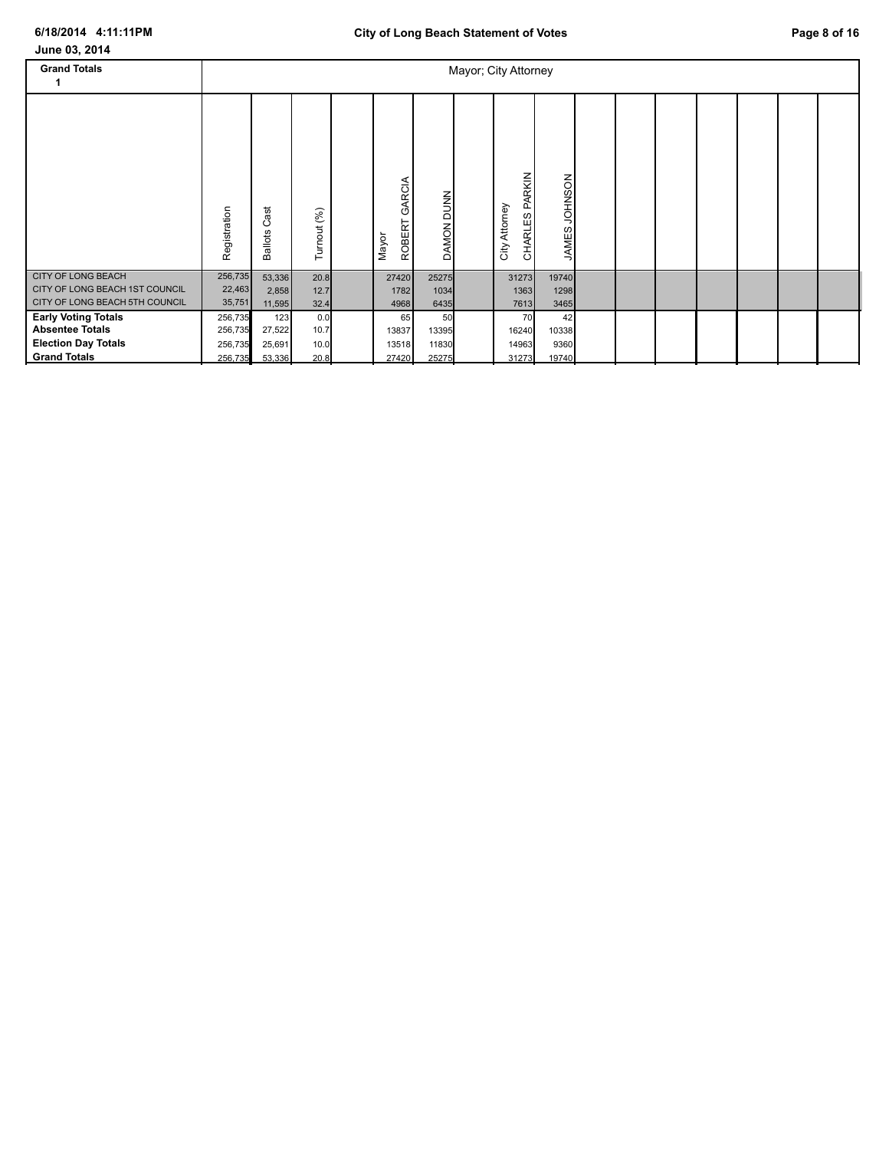| June 03, 2014                                                                                             |                                          |                                   |                             |                               |                               |                                 |                              |  |  |  |  |
|-----------------------------------------------------------------------------------------------------------|------------------------------------------|-----------------------------------|-----------------------------|-------------------------------|-------------------------------|---------------------------------|------------------------------|--|--|--|--|
| <b>Grand Totals</b>                                                                                       |                                          |                                   |                             |                               |                               | Mayor; City Attorney            |                              |  |  |  |  |
|                                                                                                           | Registration                             | ast<br>ပ<br><b>Ballots</b>        | Turnout (%)                 | GARCIA<br>ROBERT<br>Mayor     | <b>DUNN</b><br><b>DAMON</b>   | CHARLES PARKIN<br>City Attorney | NOSNHOL<br><b>JAMES</b>      |  |  |  |  |
| <b>CITY OF LONG BEACH</b><br>CITY OF LONG BEACH 1ST COUNCIL<br>CITY OF LONG BEACH 5TH COUNCIL             | 256,735<br>22,463<br>35,751              | 53,336<br>2,858<br>11,595         | 20.8<br>12.7<br>32.4        | 27420<br>1782<br>4968         | 25275<br>1034<br>6435         | 31273<br>1363<br>7613           | 19740<br>1298<br>3465        |  |  |  |  |
| <b>Early Voting Totals</b><br><b>Absentee Totals</b><br><b>Election Day Totals</b><br><b>Grand Totals</b> | 256,735<br>256,735<br>256,735<br>256,735 | 123<br>27,522<br>25,691<br>53,336 | 0.0<br>10.7<br>10.0<br>20.8 | 65<br>13837<br>13518<br>27420 | 50<br>13395<br>11830<br>25275 | 70<br>16240<br>14963<br>31273   | 42<br>10338<br>9360<br>19740 |  |  |  |  |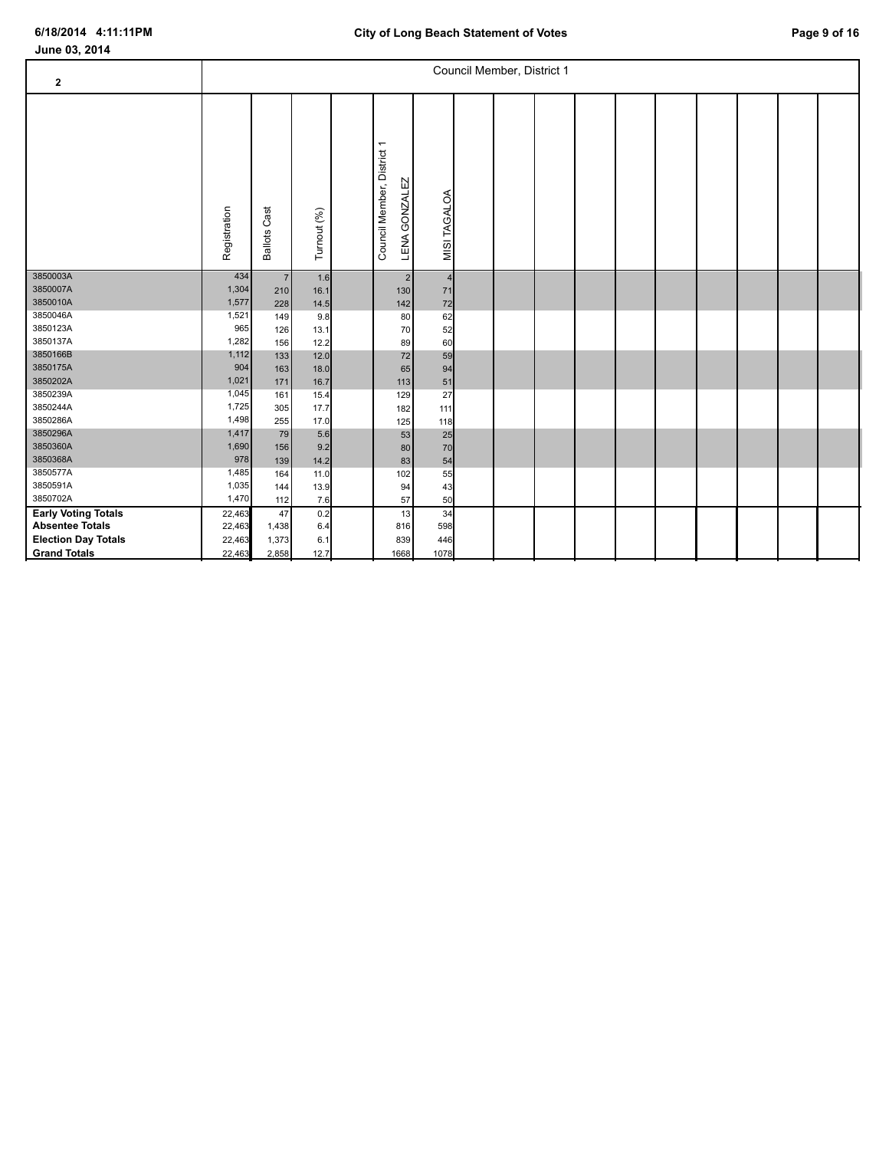| $\mathbf 2$                |              |                        |             |                                                       |                | Council Member, District 1 |  |  |  |  |
|----------------------------|--------------|------------------------|-------------|-------------------------------------------------------|----------------|----------------------------|--|--|--|--|
|                            | Registration | Cast<br><b>Ballots</b> | Turnout (%) | Council Member, District 1<br><b>GONZALEZ</b><br>LENA | MISI TAGALOA   |                            |  |  |  |  |
| 3850003A                   | 434          | $\overline{7}$         | 1.6         | $\sqrt{2}$                                            | $\overline{4}$ |                            |  |  |  |  |
| 3850007A                   | 1,304        | 210                    | 16.1        | 130                                                   | 71             |                            |  |  |  |  |
| 3850010A                   | 1,577        | 228                    | 14.5        | 142                                                   | 72             |                            |  |  |  |  |
| 3850046A                   | 1,521        | 149                    | 9.8         | 80                                                    | 62             |                            |  |  |  |  |
| 3850123A                   | 965          | 126                    | 13.1        | 70                                                    | 52             |                            |  |  |  |  |
| 3850137A                   | 1,282        | 156                    | 12.2        | 89                                                    | 60             |                            |  |  |  |  |
| 3850166B                   | 1,112        | 133                    | 12.0        | 72                                                    | 59             |                            |  |  |  |  |
| 3850175A                   | 904          | 163                    | 18.0        | 65                                                    | 94             |                            |  |  |  |  |
| 3850202A                   | 1,021        | 171                    | 16.7        | 113                                                   | 51             |                            |  |  |  |  |
| 3850239A                   | 1,045        | 161                    | 15.4        | 129                                                   | 27             |                            |  |  |  |  |
| 3850244A                   | 1,725        | 305                    | 17.7        | 182                                                   | 111            |                            |  |  |  |  |
| 3850286A                   | 1,498        | 255                    | 17.0        | 125                                                   | 118            |                            |  |  |  |  |
| 3850296A                   | 1,417        | 79                     | 5.6         | 53                                                    | 25             |                            |  |  |  |  |
| 3850360A                   | 1,690        | 156                    | 9.2         | 80                                                    | 70             |                            |  |  |  |  |
| 3850368A                   | 978          | 139                    | 14.2        | 83                                                    | 54             |                            |  |  |  |  |
| 3850577A                   | 1,485        | 164                    | 11.0        | 102                                                   | 55             |                            |  |  |  |  |
| 3850591A                   | 1,035        | 144                    | 13.9        | 94                                                    | 43             |                            |  |  |  |  |
| 3850702A                   | 1,470        | 112                    | 7.6         | 57                                                    | 50             |                            |  |  |  |  |
| <b>Early Voting Totals</b> | 22,463       | 47                     | 0.2         | 13                                                    | 34             |                            |  |  |  |  |
| <b>Absentee Totals</b>     | 22,463       | 1,438                  | 6.4         | 816                                                   | 598            |                            |  |  |  |  |
| <b>Election Day Totals</b> | 22,463       | 1,373                  | 6.1         | 839                                                   | 446            |                            |  |  |  |  |
| <b>Grand Totals</b>        | 22,463       | 2,858                  | 12.7        | 1668                                                  | 1078           |                            |  |  |  |  |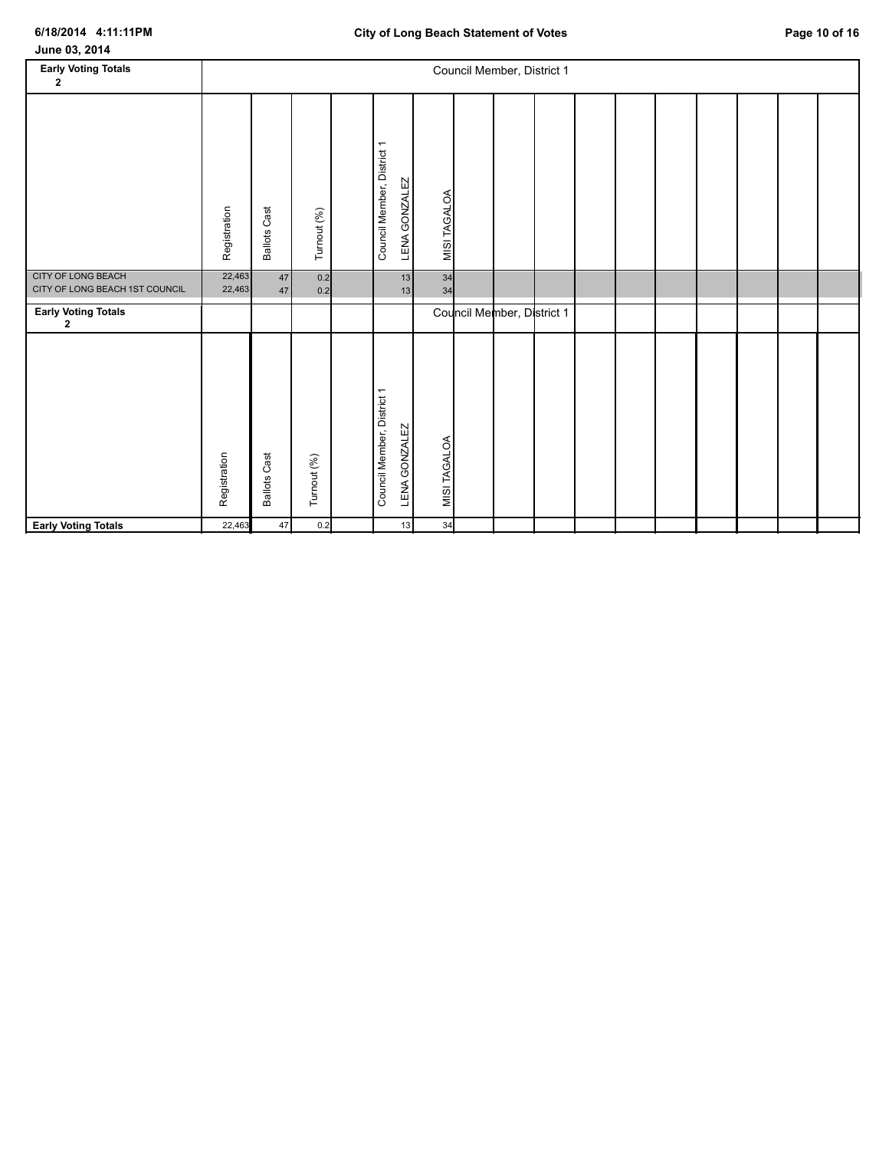| June 03, 2014 |  |
|---------------|--|
|---------------|--|

| <b>Early Voting Totals</b><br>2                             |                  |                     |             |                                             |                      | Council Member, District 1 |  |  |  |  |
|-------------------------------------------------------------|------------------|---------------------|-------------|---------------------------------------------|----------------------|----------------------------|--|--|--|--|
|                                                             | Registration     | <b>Ballots Cast</b> | Turnout (%) | Council Member, District 1<br>LENA GONZALEZ | MISI TAGALOA         |                            |  |  |  |  |
| <b>CITY OF LONG BEACH</b><br>CITY OF LONG BEACH 1ST COUNCIL | 22,463<br>22,463 | 47<br>47            | 0.2<br>0.2  |                                             | 34<br>13<br>34<br>13 |                            |  |  |  |  |
| <b>Early Voting Totals</b><br>$\mathbf{2}$                  |                  |                     |             |                                             |                      | Council Member, District 1 |  |  |  |  |
|                                                             | Registration     | <b>Ballots Cast</b> | Turnout (%) | Council Member, District 1<br>LENA GONZALEZ | MISI TAGALOA         |                            |  |  |  |  |
| <b>Early Voting Totals</b>                                  | 22,463           | 47                  | 0.2         |                                             | 34<br>13             |                            |  |  |  |  |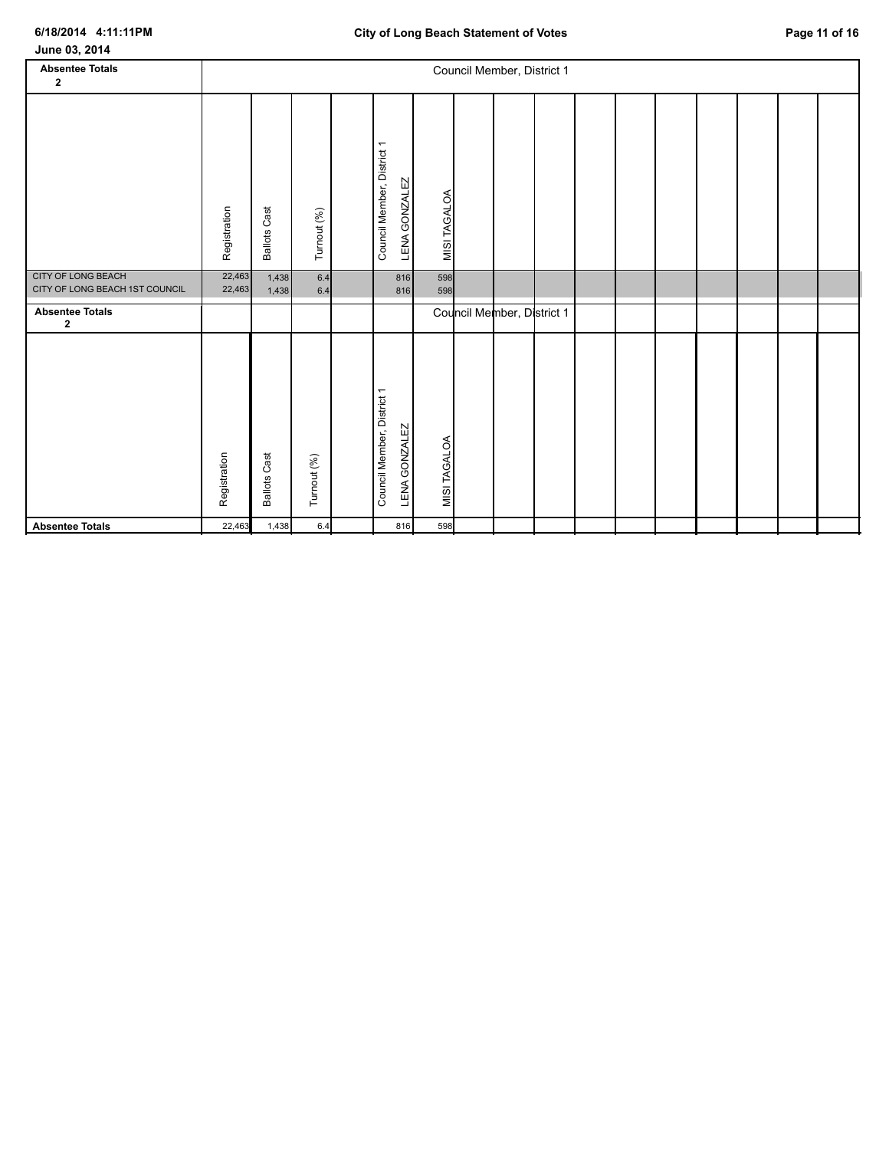| June 03, 2014                                               |                  |                     |             |  |                                                    |              |  |                            |  |  |  |  |  |  |  |  |
|-------------------------------------------------------------|------------------|---------------------|-------------|--|----------------------------------------------------|--------------|--|----------------------------|--|--|--|--|--|--|--|--|
| <b>Absentee Totals</b><br>$\mathbf{2}$                      |                  |                     |             |  |                                                    |              |  | Council Member, District 1 |  |  |  |  |  |  |  |  |
|                                                             | Registration     | <b>Ballots Cast</b> | Turnout (%) |  | Council Member, District 1<br>LENA GONZALEZ        | MISI TAGALOA |  |                            |  |  |  |  |  |  |  |  |
| <b>CITY OF LONG BEACH</b><br>CITY OF LONG BEACH 1ST COUNCIL | 22,463<br>22,463 | 1,438<br>1,438      | 6.4<br>6.4  |  | 816<br>816                                         | 598<br>598   |  |                            |  |  |  |  |  |  |  |  |
| <b>Absentee Totals</b><br>$\mathbf{2}$                      |                  |                     |             |  |                                                    |              |  | Council Member, District 1 |  |  |  |  |  |  |  |  |
|                                                             | Registration     | <b>Ballots Cast</b> | Turnout (%) |  | Council Member, District 1<br><b>LENA GONZALEZ</b> | MISI TAGALOA |  |                            |  |  |  |  |  |  |  |  |
| <b>Absentee Totals</b>                                      | 22,463           | 1,438               | 6.4         |  | 816                                                | 598          |  |                            |  |  |  |  |  |  |  |  |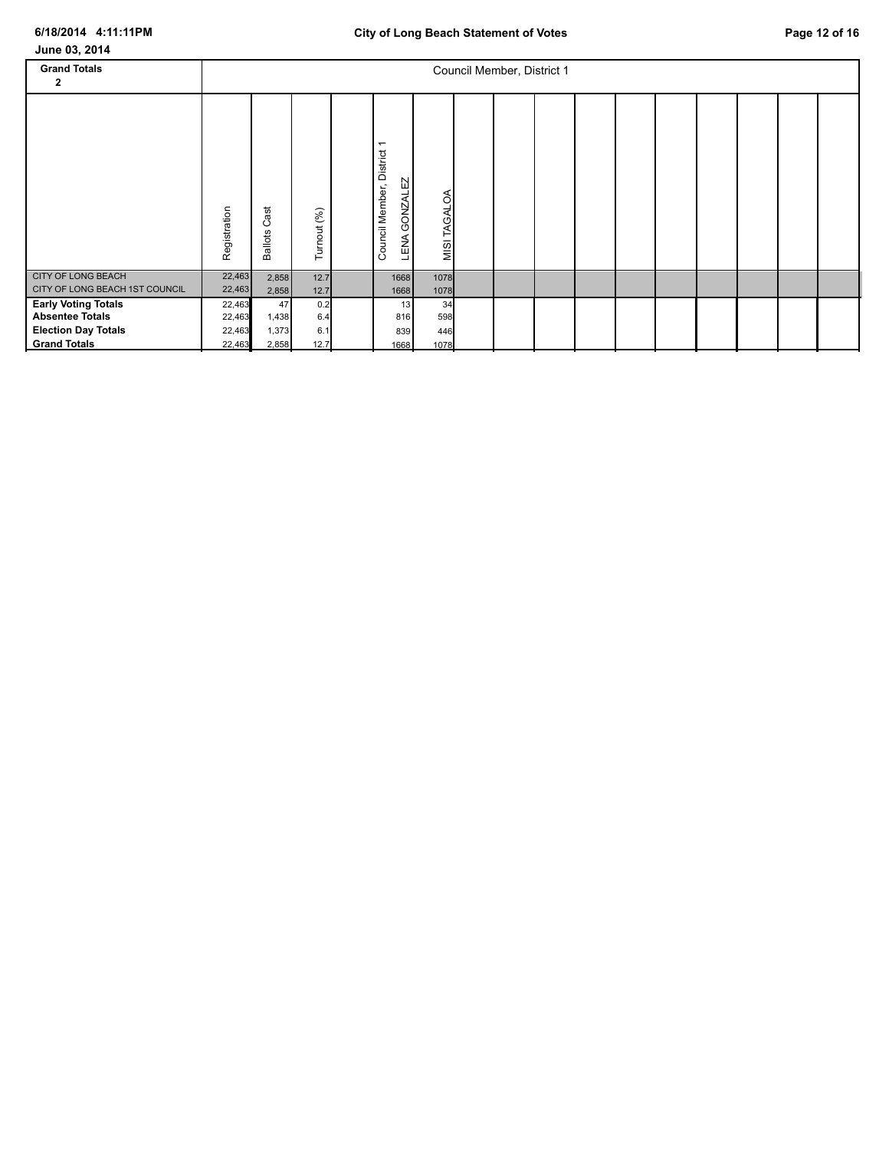| June 03, 2014                                                                                             |                                      |                               |                           |  |                                                                               |                          |  |  |  |  |  |  |  |  |  |  |
|-----------------------------------------------------------------------------------------------------------|--------------------------------------|-------------------------------|---------------------------|--|-------------------------------------------------------------------------------|--------------------------|--|--|--|--|--|--|--|--|--|--|
| <b>Grand Totals</b><br>2                                                                                  |                                      | Council Member, District 1    |                           |  |                                                                               |                          |  |  |  |  |  |  |  |  |  |  |
|                                                                                                           | Registration                         | ast<br>ပ<br><b>Ballots</b>    | Turnout (%)               |  | $\overline{\phantom{0}}$<br>District<br>GONZALEZ<br>Council Member,<br>⋖<br>뢳 | MISI TAGALOA             |  |  |  |  |  |  |  |  |  |  |
| <b>CITY OF LONG BEACH</b><br>CITY OF LONG BEACH 1ST COUNCIL                                               | 22,463<br>22,463                     | 2,858<br>2,858                | 12.7<br>$12.7$            |  | 1668<br>1668                                                                  | 1078<br>1078             |  |  |  |  |  |  |  |  |  |  |
| <b>Early Voting Totals</b><br><b>Absentee Totals</b><br><b>Election Day Totals</b><br><b>Grand Totals</b> | 22,463<br>22,463<br>22,463<br>22,463 | 47<br>1,438<br>1,373<br>2,858 | 0.2<br>6.4<br>6.1<br>12.7 |  | 13<br>816<br>839<br>1668                                                      | 34<br>598<br>446<br>1078 |  |  |  |  |  |  |  |  |  |  |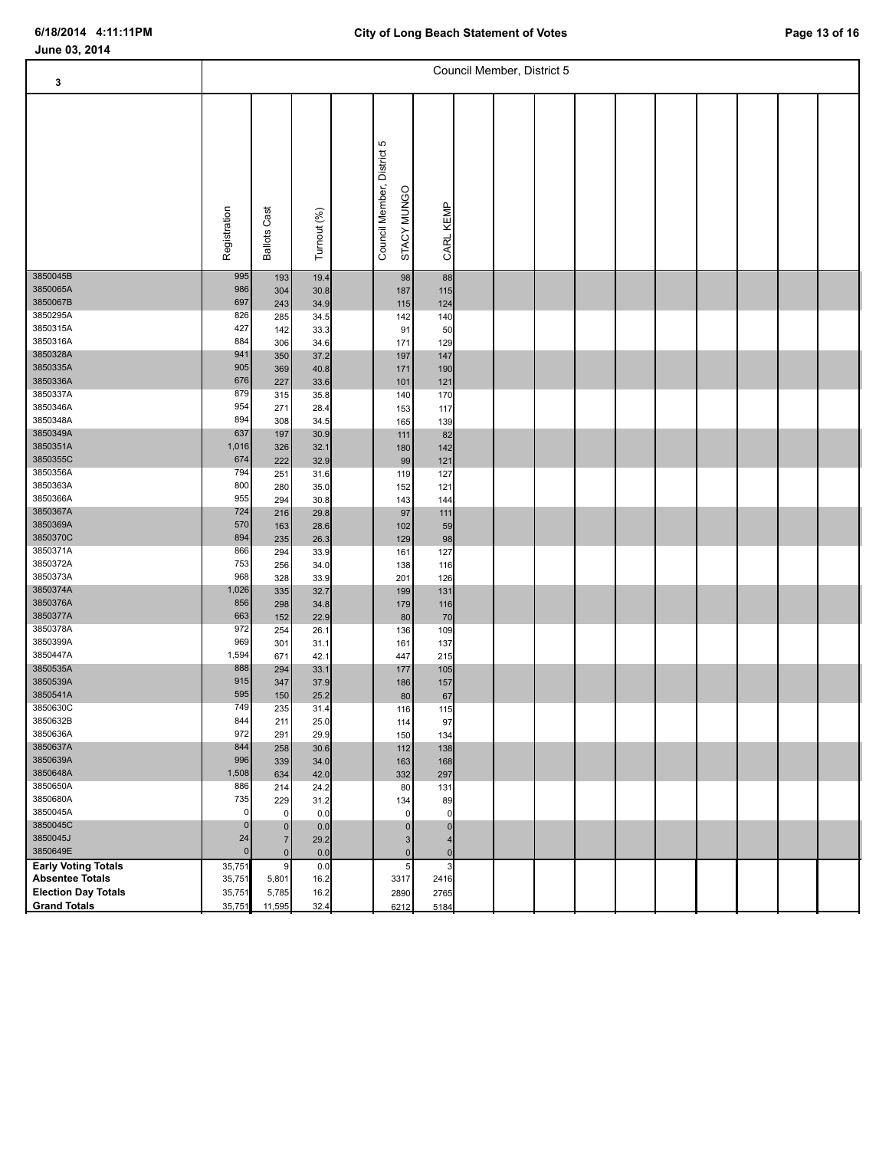| 3                          | Council Member, District 5 |                        |              |  |                                              |             |  |  |  |  |  |  |  |  |  |  |
|----------------------------|----------------------------|------------------------|--------------|--|----------------------------------------------|-------------|--|--|--|--|--|--|--|--|--|--|
|                            | Registration               | Cast<br><b>Ballots</b> | Turnout (%)  |  | Ю<br>Council Member, District<br>STACY MUNGO | CARL KEMP   |  |  |  |  |  |  |  |  |  |  |
| 3850045B<br>3850065A       | 995<br>986                 | 193<br>304             | 19.4<br>30.8 |  | 98<br>187                                    | 88<br>115   |  |  |  |  |  |  |  |  |  |  |
| 3850067B                   | 697                        | 243                    | 34.9         |  | 115                                          | 124         |  |  |  |  |  |  |  |  |  |  |
| 3850295A                   | 826                        | 285                    | 34.5         |  | 142                                          | 140         |  |  |  |  |  |  |  |  |  |  |
| 3850315A                   | 427                        | 142                    | 33.3         |  | 91                                           | 50          |  |  |  |  |  |  |  |  |  |  |
| 3850316A                   | 884                        | 306                    | 34.6         |  | 171                                          | 129         |  |  |  |  |  |  |  |  |  |  |
| 3850328A                   | 941                        | 350                    | 37.2         |  | 197                                          | 147         |  |  |  |  |  |  |  |  |  |  |
| 3850335A                   | 905                        | 369                    |              |  |                                              |             |  |  |  |  |  |  |  |  |  |  |
| 3850336A                   | 676                        |                        | 40.8         |  | 171                                          | 190         |  |  |  |  |  |  |  |  |  |  |
| 3850337A                   | 879                        | 227                    | 33.6         |  | 101                                          | 121         |  |  |  |  |  |  |  |  |  |  |
| 3850346A                   | 954                        | 315                    | 35.8         |  | 140                                          | 170         |  |  |  |  |  |  |  |  |  |  |
| 3850348A                   | 894                        | 271                    | 28.4         |  | 153                                          | 117         |  |  |  |  |  |  |  |  |  |  |
| 3850349A                   | 637                        | 308<br>197             | 34.5<br>30.9 |  | 165<br>111                                   | 139<br>82   |  |  |  |  |  |  |  |  |  |  |
| 3850351A                   | 1,016                      | 326                    | 32.1         |  | 180                                          | 142         |  |  |  |  |  |  |  |  |  |  |
| 3850355C                   | 674                        | 222                    | 32.9         |  | 99                                           | 121         |  |  |  |  |  |  |  |  |  |  |
| 3850356A                   | 794                        | 251                    | 31.6         |  | 119                                          | 127         |  |  |  |  |  |  |  |  |  |  |
| 3850363A                   | 800                        | 280                    | 35.0         |  | 152                                          | 121         |  |  |  |  |  |  |  |  |  |  |
| 3850366A                   | 955                        | 294                    | 30.8         |  | 143                                          | 144         |  |  |  |  |  |  |  |  |  |  |
| 3850367A                   | 724                        | 216                    | 29.8         |  | 97                                           | 111         |  |  |  |  |  |  |  |  |  |  |
| 3850369A                   | 570                        | 163                    | 28.6         |  | 102                                          | 59          |  |  |  |  |  |  |  |  |  |  |
| 3850370C                   | 894                        | 235                    | 26.3         |  | 129                                          | 98          |  |  |  |  |  |  |  |  |  |  |
| 3850371A                   | 866                        | 294                    | 33.9         |  | 161                                          | 127         |  |  |  |  |  |  |  |  |  |  |
| 3850372A                   | 753                        | 256                    | 34.0         |  | 138                                          | 116         |  |  |  |  |  |  |  |  |  |  |
| 3850373A                   | 968                        | 328                    | 33.9         |  | 201                                          | 126         |  |  |  |  |  |  |  |  |  |  |
| 3850374A                   | 1,026                      | 335                    | 32.7         |  | 199                                          | 131         |  |  |  |  |  |  |  |  |  |  |
| 3850376A                   | 856                        | 298                    | 34.8         |  | 179                                          | 116         |  |  |  |  |  |  |  |  |  |  |
| 3850377A                   | 663                        | 152                    | 22.9         |  | 80                                           | 70          |  |  |  |  |  |  |  |  |  |  |
| 3850378A                   | 972                        | 254                    | 26.1         |  | 136                                          | 109         |  |  |  |  |  |  |  |  |  |  |
| 3850399A                   | 969                        | 301                    | 31.1         |  | 161                                          | 137         |  |  |  |  |  |  |  |  |  |  |
| 3850447A                   | 1,594                      | 671                    | 42.1         |  | 447                                          | 215         |  |  |  |  |  |  |  |  |  |  |
| 3850535A                   | 888                        | 294                    | 33.1         |  | 177                                          | 105         |  |  |  |  |  |  |  |  |  |  |
| 3850539A                   | 915                        | 347                    | 37.9         |  | 186                                          | 157         |  |  |  |  |  |  |  |  |  |  |
| 3850541A                   | 595                        | 150                    | 25.2         |  | 80                                           | 67          |  |  |  |  |  |  |  |  |  |  |
| 3850630C                   | 749                        | 235                    | 31.4         |  | 116                                          | 115         |  |  |  |  |  |  |  |  |  |  |
| 3850632B                   | 844                        | 211                    | 25.0         |  | 114                                          | 97          |  |  |  |  |  |  |  |  |  |  |
| 3850636A                   | 972                        | 291                    | 29.9         |  | 150                                          | 134         |  |  |  |  |  |  |  |  |  |  |
| 3850637A                   | 844                        | 258                    | 30.6         |  | 112                                          | 138         |  |  |  |  |  |  |  |  |  |  |
| 3850639A                   | 996                        | 339                    | 34.0         |  | 163                                          | 168         |  |  |  |  |  |  |  |  |  |  |
| 3850648A                   | 1,508                      | 634                    | 42.0         |  | 332                                          | 297         |  |  |  |  |  |  |  |  |  |  |
| 3850650A                   | 886                        | 214                    | 24.2         |  | 80                                           | 131         |  |  |  |  |  |  |  |  |  |  |
| 3850680A                   | 735                        | 229                    | 31.2         |  | 134                                          | 89          |  |  |  |  |  |  |  |  |  |  |
| 3850045A                   | $\mathbf 0$                | $\pmb{0}$              | 0.0          |  | $\mathbf 0$                                  | $\mathbf 0$ |  |  |  |  |  |  |  |  |  |  |
| 3850045C                   | $\mathbf 0$                | $\pmb{0}$              | 0.0          |  | $\mathbf 0$                                  | 0           |  |  |  |  |  |  |  |  |  |  |
| 3850045J                   | 24                         | $\overline{7}$         | 29.2         |  | 3                                            | 4           |  |  |  |  |  |  |  |  |  |  |
| 3850649E                   | $\mathbf 0$                | $\pmb{0}$              | 0.0          |  | $\pmb{0}$                                    | $\Omega$    |  |  |  |  |  |  |  |  |  |  |
| <b>Early Voting Totals</b> | 35,751                     | $\boldsymbol{9}$       | 0.0          |  | $\sqrt{5}$                                   | 3           |  |  |  |  |  |  |  |  |  |  |
| <b>Absentee Totals</b>     | 35,751                     | 5,801                  | 16.2         |  | 3317                                         | 2416        |  |  |  |  |  |  |  |  |  |  |
| <b>Election Day Totals</b> | 35,751                     | 5,785                  | 16.2         |  | 2890                                         | 2765        |  |  |  |  |  |  |  |  |  |  |
| <b>Grand Totals</b>        | 35,751                     | 11,595                 | 32.4         |  | 6212                                         | 5184        |  |  |  |  |  |  |  |  |  |  |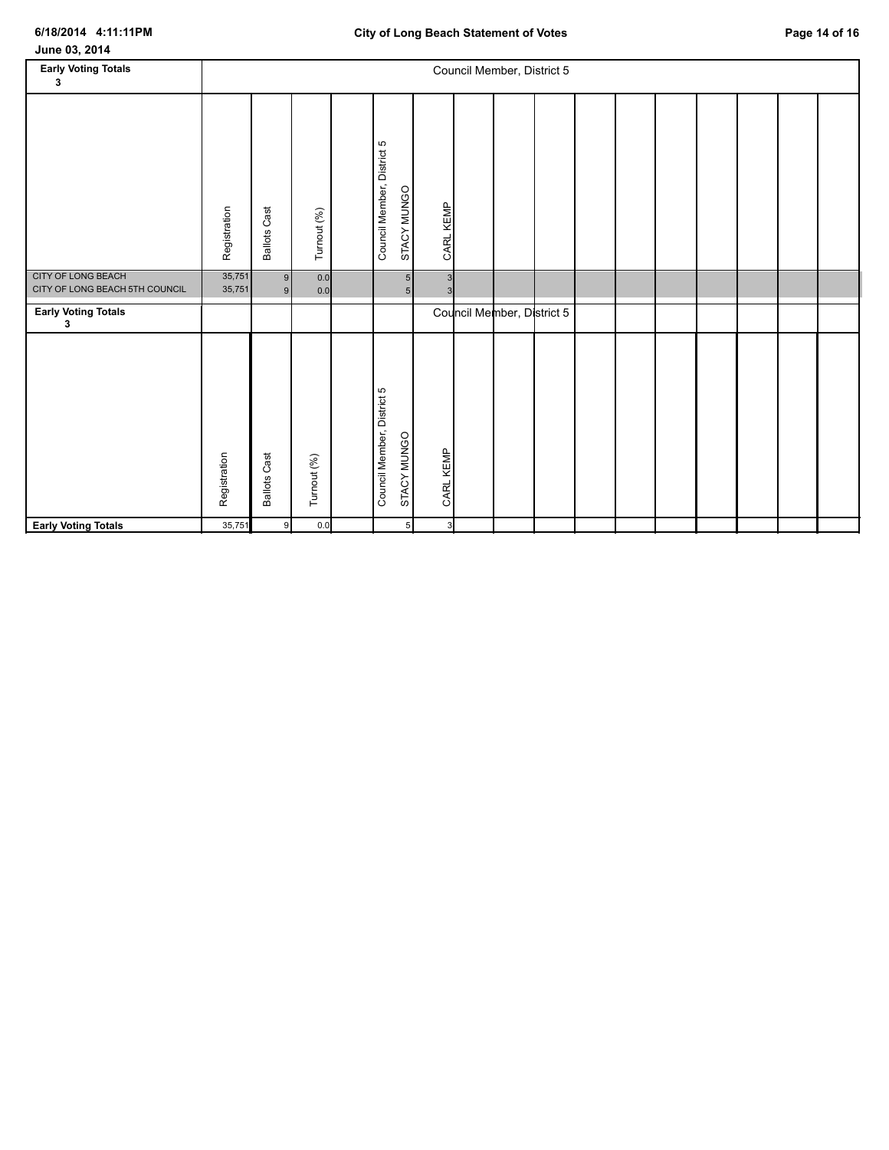| June 03, 2014 |  |
|---------------|--|
|---------------|--|

| <b>Early Voting Totals</b><br>3                      |                  |                     |             |                            |                                  |                | Council Member, District 5 |  |  |  |  |
|------------------------------------------------------|------------------|---------------------|-------------|----------------------------|----------------------------------|----------------|----------------------------|--|--|--|--|
|                                                      | Registration     | <b>Ballots Cast</b> | Turnout (%) | Council Member, District 5 | STACY MUNGO                      | CARL KEMP      |                            |  |  |  |  |
| CITY OF LONG BEACH<br>CITY OF LONG BEACH 5TH COUNCIL | 35,751<br>35,751 | 9<br>9 <sub>l</sub> | 0.0<br>0.0  |                            | 5 <sub>5</sub><br>5 <sub>5</sub> | 3<br>3         |                            |  |  |  |  |
| <b>Early Voting Totals</b><br>3                      |                  |                     |             |                            |                                  |                | Council Member, District 5 |  |  |  |  |
|                                                      | Registration     | <b>Ballots Cast</b> | Turnout (%) | Council Member, District 5 | STACY MUNGO                      | CARL KEMP      |                            |  |  |  |  |
| <b>Early Voting Totals</b>                           | 35,751           | 9                   | 0.0         |                            | 5                                | 3 <sup>l</sup> |                            |  |  |  |  |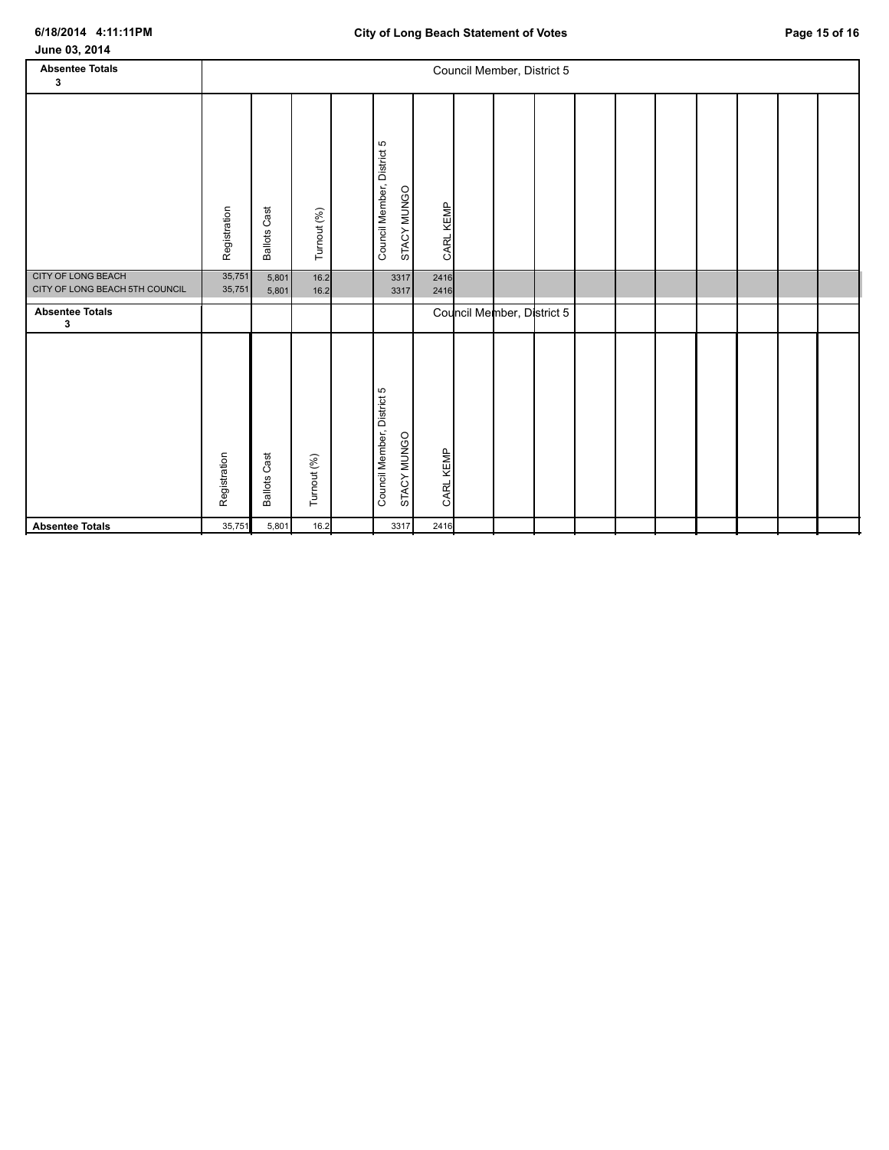**Absentee Totals** 35,751 5,801 16.2 3317 2416

| June 03, 2014                                               |                  |                     |              |  |                                           |              |  |                            |  |  |  |  |  |  |  |
|-------------------------------------------------------------|------------------|---------------------|--------------|--|-------------------------------------------|--------------|--|----------------------------|--|--|--|--|--|--|--|
| <b>Absentee Totals</b>                                      |                  |                     |              |  |                                           |              |  | Council Member, District 5 |  |  |  |  |  |  |  |
| $\mathbf{3}$                                                |                  |                     |              |  |                                           |              |  |                            |  |  |  |  |  |  |  |
|                                                             | Registration     | <b>Ballots Cast</b> | Turnout (%)  |  | Council Member, District 5<br>STACY MUNGO | CARL KEMP    |  |                            |  |  |  |  |  |  |  |
| <b>CITY OF LONG BEACH</b><br>CITY OF LONG BEACH 5TH COUNCIL | 35,751<br>35,751 | 5,801<br>5,801      | 16.2<br>16.2 |  | 3317<br>3317                              | 2416<br>2416 |  |                            |  |  |  |  |  |  |  |
| <b>Absentee Totals</b><br>3                                 |                  |                     |              |  |                                           |              |  | Council Member, District 5 |  |  |  |  |  |  |  |
|                                                             | Registration     | <b>Ballots Cast</b> | Turnout (%)  |  | Council Member, District 5<br>STACY MUNGO | CARL KEMP    |  |                            |  |  |  |  |  |  |  |